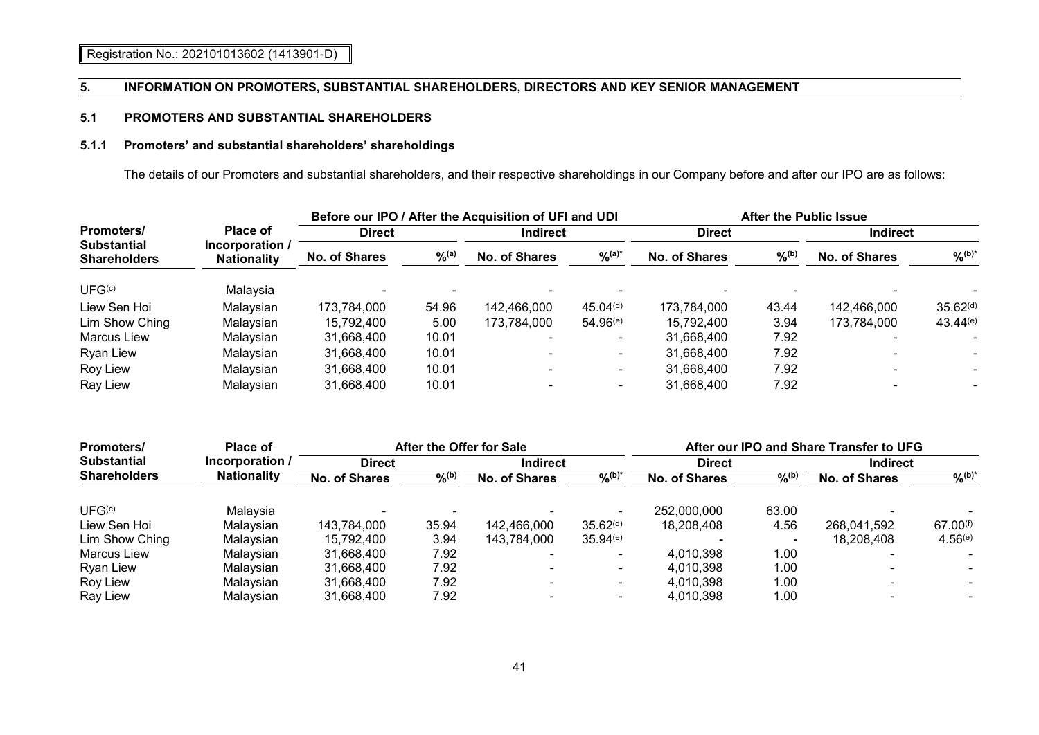# **5.1 PROMOTERS AND SUBSTANTIAL SHAREHOLDERS**

# **5.1.1 Promoters' and substantial shareholders' shareholdings**

The details of our Promoters and substantial shareholders, and their respective shareholdings in our Company before and after our IPO are as follows:

|                                                                |                                       |                      |             | Before our IPO / After the Acquisition of UFI and UDI |                      | <b>After the Public Issue</b> |                   |                      |                      |
|----------------------------------------------------------------|---------------------------------------|----------------------|-------------|-------------------------------------------------------|----------------------|-------------------------------|-------------------|----------------------|----------------------|
| <b>Promoters/</b><br><b>Substantial</b><br><b>Shareholders</b> | <b>Place of</b>                       | <b>Direct</b>        |             | <b>Indirect</b>                                       |                      | <b>Direct</b>                 |                   | <b>Indirect</b>      |                      |
|                                                                | Incorporation /<br><b>Nationality</b> | <b>No. of Shares</b> | $9/6^{(a)}$ | <b>No. of Shares</b>                                  | $\frac{9}{6}$ (a)*   | <b>No. of Shares</b>          | $\frac{9}{6}$ (b) | <b>No. of Shares</b> | $\frac{9}{6}$ (b)*   |
| UFG <sup>(c)</sup>                                             | Malavsia                              |                      |             |                                                       |                      |                               |                   |                      |                      |
| Liew Sen Hoi                                                   | Malaysian                             | 173,784,000          | 54.96       | 142,466,000                                           | 45.04 <sup>(d)</sup> | 173,784,000                   | 43.44             | 142,466,000          | 35.62 <sup>(d)</sup> |
| Lim Show Ching                                                 | Malaysian                             | 15.792.400           | 5.00        | 173,784,000                                           | $54.96^{(e)}$        | 15.792.400                    | 3.94              | 173,784,000          | 43.44(e)             |
| <b>Marcus Liew</b>                                             | Malaysian                             | 31,668,400           | 10.01       |                                                       |                      | 31,668,400                    | 7.92              |                      |                      |
| Ryan Liew                                                      | Malaysian                             | 31,668,400           | 10.01       |                                                       |                      | 31,668,400                    | 7.92              |                      |                      |
| Roy Liew                                                       | Malaysian                             | 31,668,400           | 10.01       |                                                       |                      | 31,668,400                    | 7.92              |                      |                      |
| Ray Liew                                                       | Malaysian                             | 31,668,400           | 10.01       |                                                       |                      | 31,668,400                    | 7.92              |                      |                      |

| <b>Promoters/</b>   | Place of           | After the Offer for Sale |                     |                          |                      | After our IPO and Share Transfer to UFG |             |                      |                           |
|---------------------|--------------------|--------------------------|---------------------|--------------------------|----------------------|-----------------------------------------|-------------|----------------------|---------------------------|
| <b>Substantial</b>  | Incorporation /    | <b>Direct</b>            |                     | <b>Indirect</b>          |                      | <b>Direct</b>                           |             | <b>Indirect</b>      |                           |
| <b>Shareholders</b> | <b>Nationality</b> | <b>No. of Shares</b>     | $\%$ <sup>(b)</sup> | <b>No. of Shares</b>     | $9/6^{(b)*}$         | No. of Shares                           | $9/6^{(b)}$ | <b>No. of Shares</b> | $\sqrt{\mathsf{b}}^{(b)}$ |
| UFG <sup>(c)</sup>  | Malaysia           |                          |                     |                          |                      | 252,000,000                             | 63.00       |                      |                           |
| Liew Sen Hoi        | Malavsian          | 143.784.000              | 35.94               | 142,466,000              | 35.62 <sup>(d)</sup> | 18.208.408                              | 4.56        | 268,041,592          | $67.00^{(f)}$             |
| Lim Show Ching      | Malavsian          | 15.792.400               | 3.94                | 143,784,000              | 35.94(e)             |                                         |             | 18,208,408           | $4.56^{(e)}$              |
| <b>Marcus Liew</b>  | Malavsian          | 31,668,400               | 7.92                |                          |                      | 4,010,398                               | 1.00        |                      |                           |
| <b>Ryan Liew</b>    | Malavsian          | 31.668.400               | 7.92                |                          |                      | 4.010.398                               | 1.00        |                      |                           |
| Roy Liew            | Malavsian          | 31,668,400               | 7.92                | $\overline{\phantom{0}}$ | $\sim$               | 4.010.398                               | 1.00        |                      |                           |
| Ray Liew            | Malavsian          | 31.668.400               | 7.92                |                          |                      | 4.010.398                               | 1.00        |                      |                           |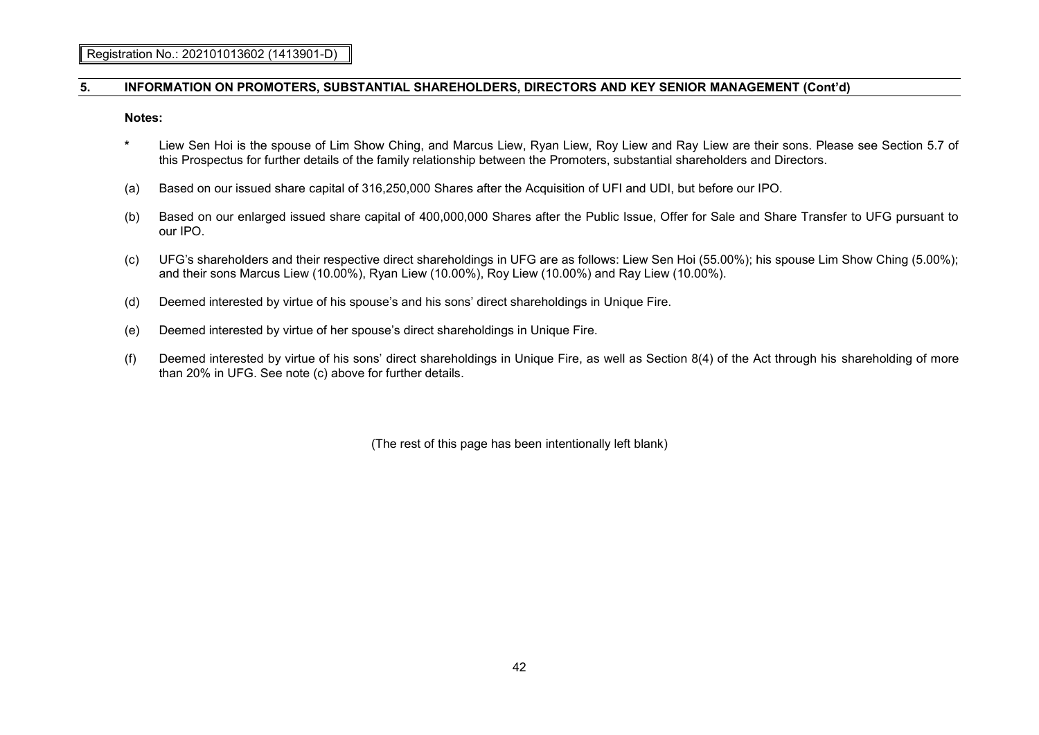**Notes:**

- **\*** Liew Sen Hoi is the spouse of Lim Show Ching, and Marcus Liew, Ryan Liew, Roy Liew and Ray Liew are their sons. Please see Section 5.7 of this Prospectus for further details of the family relationship between the Promoters, substantial shareholders and Directors.
- (a) Based on our issued share capital of 316,250,000 Shares after the Acquisition of UFI and UDI, but before our IPO.
- (b) Based on our enlarged issued share capital of 400,000,000 Shares after the Public Issue, Offer for Sale and Share Transfer to UFG pursuant to our IPO.
- (c) UFG's shareholders and their respective direct shareholdings in UFG are as follows: Liew Sen Hoi (55.00%); his spouse Lim Show Ching (5.00%); and their sons Marcus Liew (10.00%), Ryan Liew (10.00%), Roy Liew (10.00%) and Ray Liew (10.00%).
- (d) Deemed interested by virtue of his spouse's and his sons' direct shareholdings in Unique Fire.
- (e) Deemed interested by virtue of her spouse's direct shareholdings in Unique Fire.
- (f) Deemed interested by virtue of his sons' direct shareholdings in Unique Fire, as well as Section 8(4) of the Act through his shareholding of more than 20% in UFG. See note (c) above for further details.

(The rest of this page has been intentionally left blank)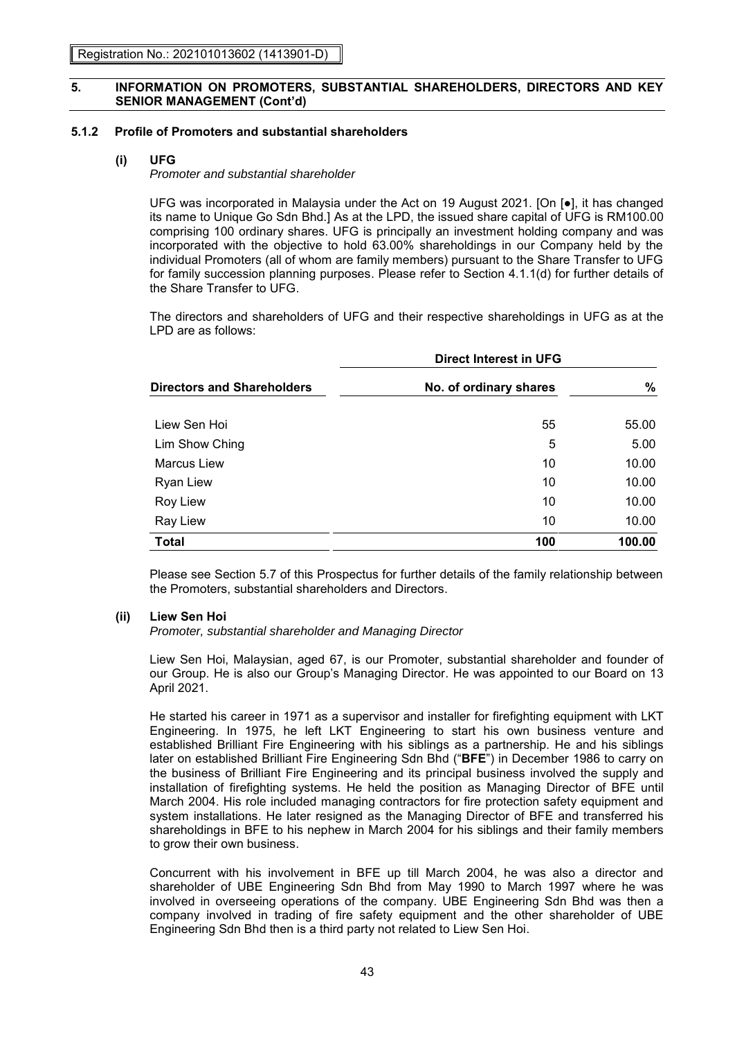### **5.1.2 Profile of Promoters and substantial shareholders**

# **(i) UFG**

# *Promoter and substantial shareholder*

UFG was incorporated in Malaysia under the Act on 19 August 2021. [On [●], it has changed its name to Unique Go Sdn Bhd.] As at the LPD, the issued share capital of UFG is RM100.00 comprising 100 ordinary shares. UFG is principally an investment holding company and was incorporated with the objective to hold 63.00% shareholdings in our Company held by the individual Promoters (all of whom are family members) pursuant to the Share Transfer to UFG for family succession planning purposes. Please refer to Section 4.1.1(d) for further details of the Share Transfer to UFG.

The directors and shareholders of UFG and their respective shareholdings in UFG as at the LPD are as follows:

|                                   | <b>Direct Interest in UFG</b> |        |  |  |  |  |
|-----------------------------------|-------------------------------|--------|--|--|--|--|
| <b>Directors and Shareholders</b> | No. of ordinary shares        |        |  |  |  |  |
| Liew Sen Hoi                      | 55                            | 55.00  |  |  |  |  |
| Lim Show Ching                    | 5                             | 5.00   |  |  |  |  |
| Marcus Liew                       | 10                            | 10.00  |  |  |  |  |
| Ryan Liew                         | 10                            | 10.00  |  |  |  |  |
| Roy Liew                          | 10                            | 10.00  |  |  |  |  |
| Ray Liew                          | 10                            | 10.00  |  |  |  |  |
| <b>Total</b>                      | 100                           | 100.00 |  |  |  |  |

Please see Section 5.7 of this Prospectus for further details of the family relationship between the Promoters, substantial shareholders and Directors.

# **(ii) Liew Sen Hoi**

*Promoter, substantial shareholder and Managing Director*

Liew Sen Hoi, Malaysian, aged 67, is our Promoter, substantial shareholder and founder of our Group. He is also our Group's Managing Director. He was appointed to our Board on 13 April 2021.

He started his career in 1971 as a supervisor and installer for firefighting equipment with LKT Engineering. In 1975, he left LKT Engineering to start his own business venture and established Brilliant Fire Engineering with his siblings as a partnership. He and his siblings later on established Brilliant Fire Engineering Sdn Bhd ("**BFE**") in December 1986 to carry on the business of Brilliant Fire Engineering and its principal business involved the supply and installation of firefighting systems. He held the position as Managing Director of BFE until March 2004. His role included managing contractors for fire protection safety equipment and system installations. He later resigned as the Managing Director of BFE and transferred his shareholdings in BFE to his nephew in March 2004 for his siblings and their family members to grow their own business.

Concurrent with his involvement in BFE up till March 2004, he was also a director and shareholder of UBE Engineering Sdn Bhd from May 1990 to March 1997 where he was involved in overseeing operations of the company. UBE Engineering Sdn Bhd was then a company involved in trading of fire safety equipment and the other shareholder of UBE Engineering Sdn Bhd then is a third party not related to Liew Sen Hoi.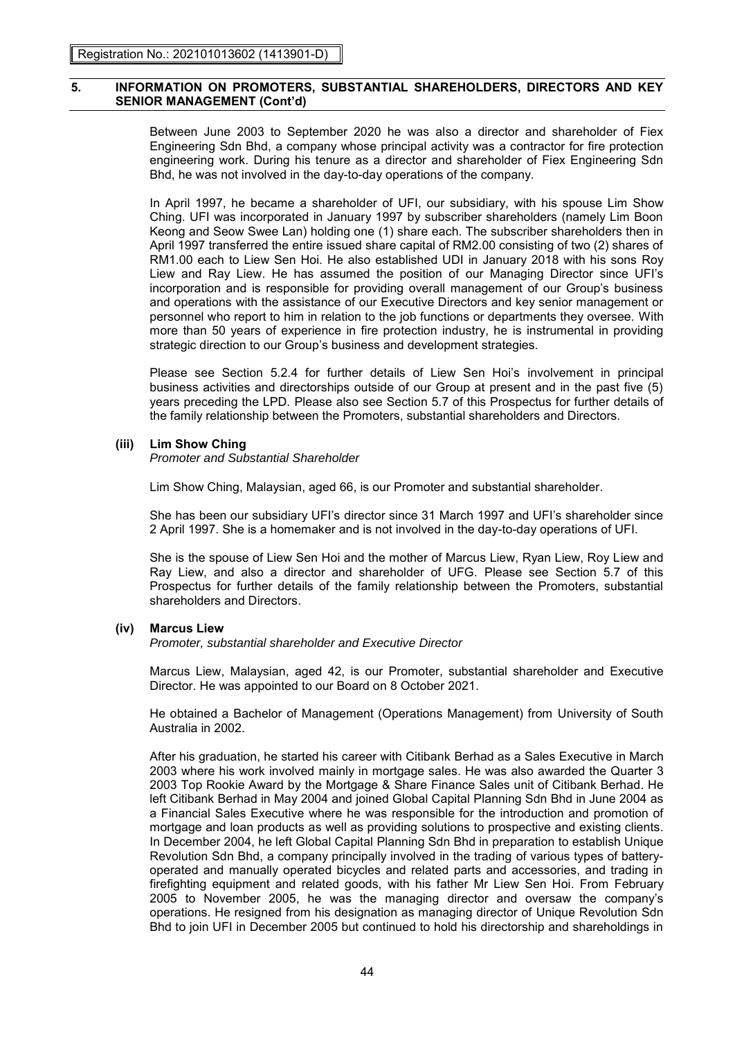Between June 2003 to September 2020 he was also a director and shareholder of Fiex Engineering Sdn Bhd, a company whose principal activity was a contractor for fire protection engineering work. During his tenure as a director and shareholder of Fiex Engineering Sdn Bhd, he was not involved in the day-to-day operations of the company.

In April 1997, he became a shareholder of UFI, our subsidiary, with his spouse Lim Show Ching. UFI was incorporated in January 1997 by subscriber shareholders (namely Lim Boon Keong and Seow Swee Lan) holding one (1) share each. The subscriber shareholders then in April 1997 transferred the entire issued share capital of RM2.00 consisting of two (2) shares of RM1.00 each to Liew Sen Hoi. He also established UDI in January 2018 with his sons Roy Liew and Ray Liew. He has assumed the position of our Managing Director since UFI's incorporation and is responsible for providing overall management of our Group's business and operations with the assistance of our Executive Directors and key senior management or personnel who report to him in relation to the job functions or departments they oversee. With more than 50 years of experience in fire protection industry, he is instrumental in providing strategic direction to our Group's business and development strategies.

Please see Section 5.2.4 for further details of Liew Sen Hoi's involvement in principal business activities and directorships outside of our Group at present and in the past five (5) years preceding the LPD. Please also see Section 5.7 of this Prospectus for further details of the family relationship between the Promoters, substantial shareholders and Directors.

# **(iii) Lim Show Ching**

*Promoter and Substantial Shareholder*

Lim Show Ching, Malaysian, aged 66, is our Promoter and substantial shareholder.

She has been our subsidiary UFI's director since 31 March 1997 and UFI's shareholder since 2 April 1997. She is a homemaker and is not involved in the day-to-day operations of UFI.

She is the spouse of Liew Sen Hoi and the mother of Marcus Liew, Ryan Liew, Roy Liew and Ray Liew, and also a director and shareholder of UFG. Please see Section 5.7 of this Prospectus for further details of the family relationship between the Promoters, substantial shareholders and Directors.

### **(iv) Marcus Liew**

*Promoter, substantial shareholder and Executive Director*

Marcus Liew, Malaysian, aged 42, is our Promoter, substantial shareholder and Executive Director. He was appointed to our Board on 8 October 2021.

He obtained a Bachelor of Management (Operations Management) from University of South Australia in 2002.

After his graduation, he started his career with Citibank Berhad as a Sales Executive in March 2003 where his work involved mainly in mortgage sales. He was also awarded the Quarter 3 2003 Top Rookie Award by the Mortgage & Share Finance Sales unit of Citibank Berhad. He left Citibank Berhad in May 2004 and joined Global Capital Planning Sdn Bhd in June 2004 as a Financial Sales Executive where he was responsible for the introduction and promotion of mortgage and loan products as well as providing solutions to prospective and existing clients. In December 2004, he left Global Capital Planning Sdn Bhd in preparation to establish Unique Revolution Sdn Bhd, a company principally involved in the trading of various types of batteryoperated and manually operated bicycles and related parts and accessories, and trading in firefighting equipment and related goods, with his father Mr Liew Sen Hoi. From February 2005 to November 2005, he was the managing director and oversaw the company's operations. He resigned from his designation as managing director of Unique Revolution Sdn Bhd to join UFI in December 2005 but continued to hold his directorship and shareholdings in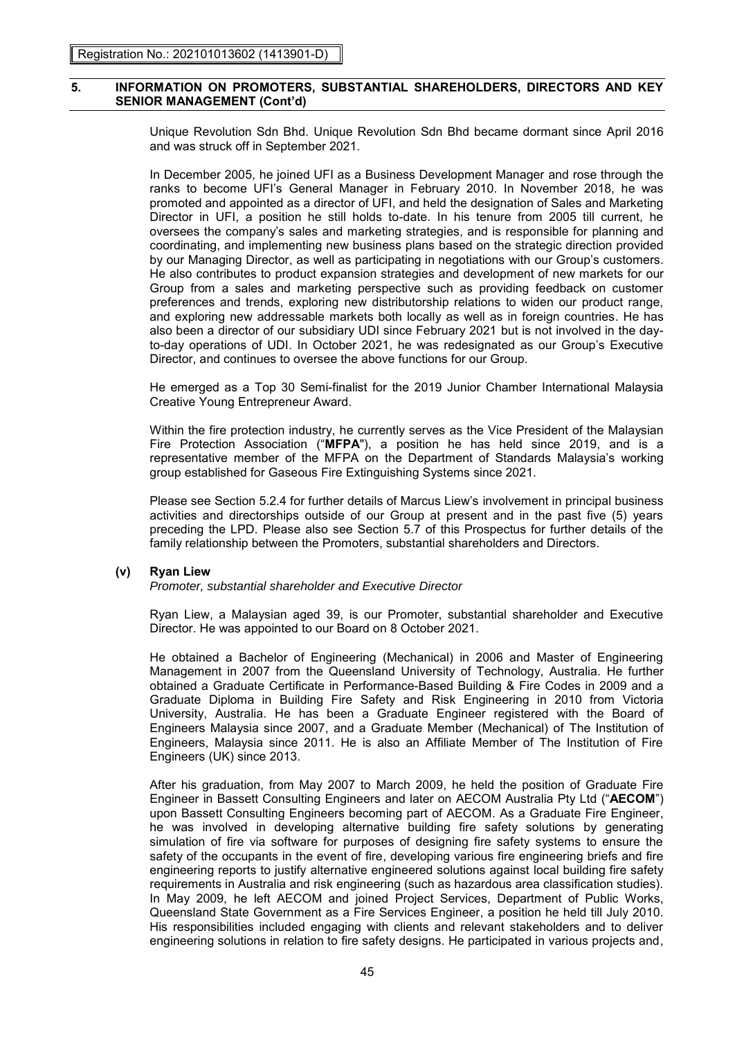Unique Revolution Sdn Bhd. Unique Revolution Sdn Bhd became dormant since April 2016 and was struck off in September 2021.

In December 2005, he joined UFI as a Business Development Manager and rose through the ranks to become UFI's General Manager in February 2010. In November 2018, he was promoted and appointed as a director of UFI, and held the designation of Sales and Marketing Director in UFI, a position he still holds to-date. In his tenure from 2005 till current, he oversees the company's sales and marketing strategies, and is responsible for planning and coordinating, and implementing new business plans based on the strategic direction provided by our Managing Director, as well as participating in negotiations with our Group's customers. He also contributes to product expansion strategies and development of new markets for our Group from a sales and marketing perspective such as providing feedback on customer preferences and trends, exploring new distributorship relations to widen our product range, and exploring new addressable markets both locally as well as in foreign countries. He has also been a director of our subsidiary UDI since February 2021 but is not involved in the dayto-day operations of UDI. In October 2021, he was redesignated as our Group's Executive Director, and continues to oversee the above functions for our Group.

He emerged as a Top 30 Semi-finalist for the 2019 Junior Chamber International Malaysia Creative Young Entrepreneur Award.

Within the fire protection industry, he currently serves as the Vice President of the Malaysian Fire Protection Association ("**MFPA**"), a position he has held since 2019, and is a representative member of the MFPA on the Department of Standards Malaysia's working group established for Gaseous Fire Extinguishing Systems since 2021.

Please see Section 5.2.4 for further details of Marcus Liew's involvement in principal business activities and directorships outside of our Group at present and in the past five (5) years preceding the LPD. Please also see Section 5.7 of this Prospectus for further details of the family relationship between the Promoters, substantial shareholders and Directors.

### **(v) Ryan Liew**

*Promoter, substantial shareholder and Executive Director*

Ryan Liew, a Malaysian aged 39, is our Promoter, substantial shareholder and Executive Director. He was appointed to our Board on 8 October 2021.

He obtained a Bachelor of Engineering (Mechanical) in 2006 and Master of Engineering Management in 2007 from the Queensland University of Technology, Australia. He further obtained a Graduate Certificate in Performance-Based Building & Fire Codes in 2009 and a Graduate Diploma in Building Fire Safety and Risk Engineering in 2010 from Victoria University, Australia. He has been a Graduate Engineer registered with the Board of Engineers Malaysia since 2007, and a Graduate Member (Mechanical) of The Institution of Engineers, Malaysia since 2011. He is also an Affiliate Member of The Institution of Fire Engineers (UK) since 2013.

After his graduation, from May 2007 to March 2009, he held the position of Graduate Fire Engineer in Bassett Consulting Engineers and later on AECOM Australia Pty Ltd ("**AECOM**") upon Bassett Consulting Engineers becoming part of AECOM. As a Graduate Fire Engineer, he was involved in developing alternative building fire safety solutions by generating simulation of fire via software for purposes of designing fire safety systems to ensure the safety of the occupants in the event of fire, developing various fire engineering briefs and fire engineering reports to justify alternative engineered solutions against local building fire safety requirements in Australia and risk engineering (such as hazardous area classification studies). In May 2009, he left AECOM and joined Project Services, Department of Public Works, Queensland State Government as a Fire Services Engineer, a position he held till July 2010. His responsibilities included engaging with clients and relevant stakeholders and to deliver engineering solutions in relation to fire safety designs. He participated in various projects and,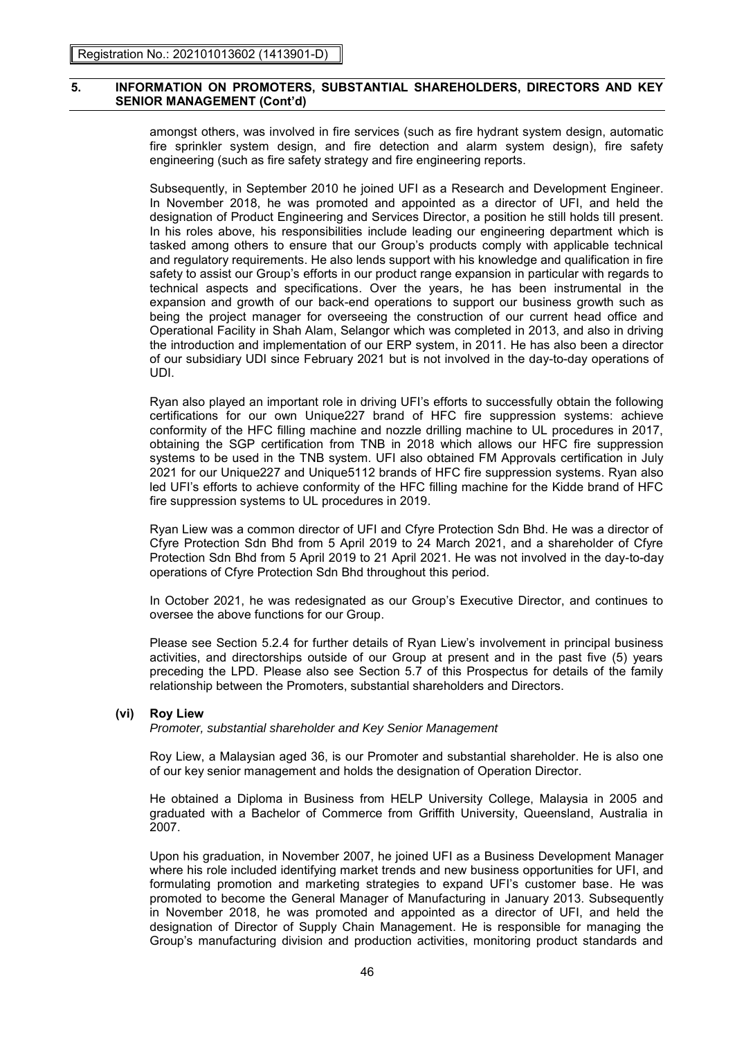amongst others, was involved in fire services (such as fire hydrant system design, automatic fire sprinkler system design, and fire detection and alarm system design), fire safety engineering (such as fire safety strategy and fire engineering reports.

Subsequently, in September 2010 he joined UFI as a Research and Development Engineer. In November 2018, he was promoted and appointed as a director of UFI, and held the designation of Product Engineering and Services Director, a position he still holds till present. In his roles above, his responsibilities include leading our engineering department which is tasked among others to ensure that our Group's products comply with applicable technical and regulatory requirements. He also lends support with his knowledge and qualification in fire safety to assist our Group's efforts in our product range expansion in particular with regards to technical aspects and specifications. Over the years, he has been instrumental in the expansion and growth of our back-end operations to support our business growth such as being the project manager for overseeing the construction of our current head office and Operational Facility in Shah Alam, Selangor which was completed in 2013, and also in driving the introduction and implementation of our ERP system, in 2011. He has also been a director of our subsidiary UDI since February 2021 but is not involved in the day-to-day operations of UDI.

Ryan also played an important role in driving UFI's efforts to successfully obtain the following certifications for our own Unique227 brand of HFC fire suppression systems: achieve conformity of the HFC filling machine and nozzle drilling machine to UL procedures in 2017, obtaining the SGP certification from TNB in 2018 which allows our HFC fire suppression systems to be used in the TNB system. UFI also obtained FM Approvals certification in July 2021 for our Unique227 and Unique5112 brands of HFC fire suppression systems. Ryan also led UFI's efforts to achieve conformity of the HFC filling machine for the Kidde brand of HFC fire suppression systems to UL procedures in 2019.

Ryan Liew was a common director of UFI and Cfyre Protection Sdn Bhd. He was a director of Cfyre Protection Sdn Bhd from 5 April 2019 to 24 March 2021, and a shareholder of Cfyre Protection Sdn Bhd from 5 April 2019 to 21 April 2021. He was not involved in the day-to-day operations of Cfyre Protection Sdn Bhd throughout this period.

In October 2021, he was redesignated as our Group's Executive Director, and continues to oversee the above functions for our Group.

Please see Section 5.2.4 for further details of Ryan Liew's involvement in principal business activities, and directorships outside of our Group at present and in the past five (5) years preceding the LPD. Please also see Section 5.7 of this Prospectus for details of the family relationship between the Promoters, substantial shareholders and Directors.

### **(vi) Roy Liew**

*Promoter, substantial shareholder and Key Senior Management*

Roy Liew, a Malaysian aged 36, is our Promoter and substantial shareholder. He is also one of our key senior management and holds the designation of Operation Director.

He obtained a Diploma in Business from HELP University College, Malaysia in 2005 and graduated with a Bachelor of Commerce from Griffith University, Queensland, Australia in 2007.

Upon his graduation, in November 2007, he joined UFI as a Business Development Manager where his role included identifying market trends and new business opportunities for UFI, and formulating promotion and marketing strategies to expand UFI's customer base. He was promoted to become the General Manager of Manufacturing in January 2013. Subsequently in November 2018, he was promoted and appointed as a director of UFI, and held the designation of Director of Supply Chain Management. He is responsible for managing the Group's manufacturing division and production activities, monitoring product standards and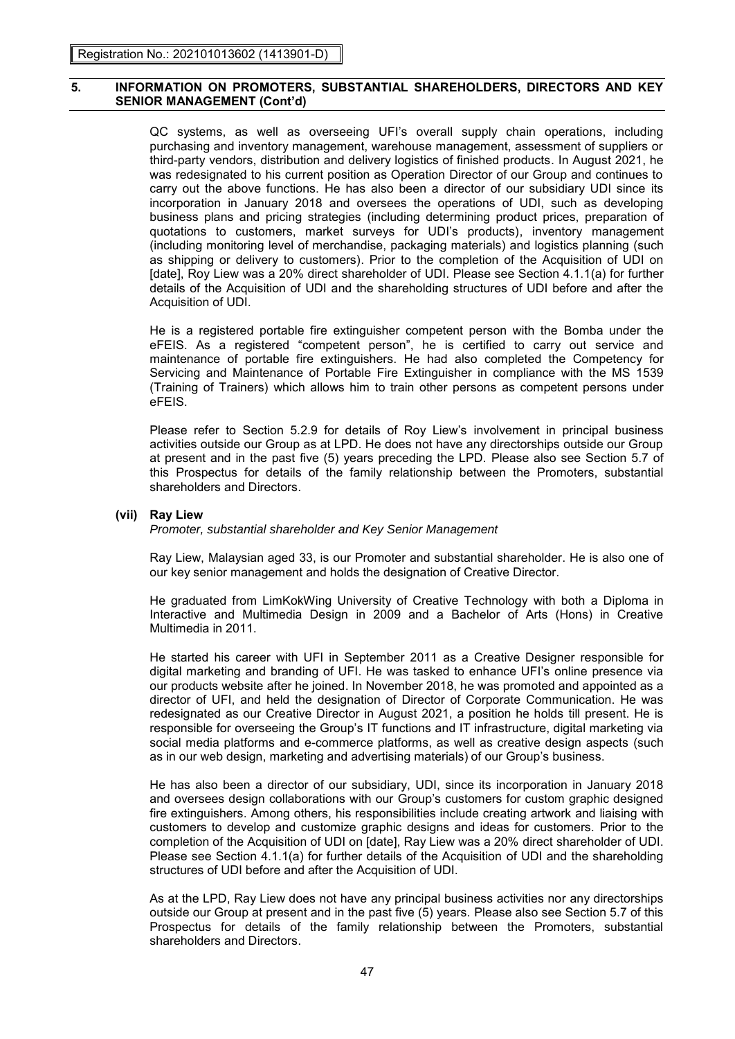QC systems, as well as overseeing UFI's overall supply chain operations, including purchasing and inventory management, warehouse management, assessment of suppliers or third-party vendors, distribution and delivery logistics of finished products. In August 2021, he was redesignated to his current position as Operation Director of our Group and continues to carry out the above functions. He has also been a director of our subsidiary UDI since its incorporation in January 2018 and oversees the operations of UDI, such as developing business plans and pricing strategies (including determining product prices, preparation of quotations to customers, market surveys for UDI's products), inventory management (including monitoring level of merchandise, packaging materials) and logistics planning (such as shipping or delivery to customers). Prior to the completion of the Acquisition of UDI on [date], Roy Liew was a 20% direct shareholder of UDI. Please see Section 4.1.1(a) for further details of the Acquisition of UDI and the shareholding structures of UDI before and after the Acquisition of UDI.

He is a registered portable fire extinguisher competent person with the Bomba under the eFEIS. As a registered "competent person", he is certified to carry out service and maintenance of portable fire extinguishers. He had also completed the Competency for Servicing and Maintenance of Portable Fire Extinguisher in compliance with the MS 1539 (Training of Trainers) which allows him to train other persons as competent persons under eFEIS.

Please refer to Section 5.2.9 for details of Roy Liew's involvement in principal business activities outside our Group as at LPD. He does not have any directorships outside our Group at present and in the past five (5) years preceding the LPD. Please also see Section 5.7 of this Prospectus for details of the family relationship between the Promoters, substantial shareholders and Directors.

### **(vii) Ray Liew**

*Promoter, substantial shareholder and Key Senior Management*

Ray Liew, Malaysian aged 33, is our Promoter and substantial shareholder. He is also one of our key senior management and holds the designation of Creative Director.

He graduated from LimKokWing University of Creative Technology with both a Diploma in Interactive and Multimedia Design in 2009 and a Bachelor of Arts (Hons) in Creative Multimedia in 2011.

He started his career with UFI in September 2011 as a Creative Designer responsible for digital marketing and branding of UFI. He was tasked to enhance UFI's online presence via our products website after he joined. In November 2018, he was promoted and appointed as a director of UFI, and held the designation of Director of Corporate Communication. He was redesignated as our Creative Director in August 2021, a position he holds till present. He is responsible for overseeing the Group's IT functions and IT infrastructure, digital marketing via social media platforms and e-commerce platforms, as well as creative design aspects (such as in our web design, marketing and advertising materials) of our Group's business.

He has also been a director of our subsidiary, UDI, since its incorporation in January 2018 and oversees design collaborations with our Group's customers for custom graphic designed fire extinguishers. Among others, his responsibilities include creating artwork and liaising with customers to develop and customize graphic designs and ideas for customers. Prior to the completion of the Acquisition of UDI on [date], Ray Liew was a 20% direct shareholder of UDI. Please see Section 4.1.1(a) for further details of the Acquisition of UDI and the shareholding structures of UDI before and after the Acquisition of UDI.

As at the LPD, Ray Liew does not have any principal business activities nor any directorships outside our Group at present and in the past five (5) years. Please also see Section 5.7 of this Prospectus for details of the family relationship between the Promoters, substantial shareholders and Directors.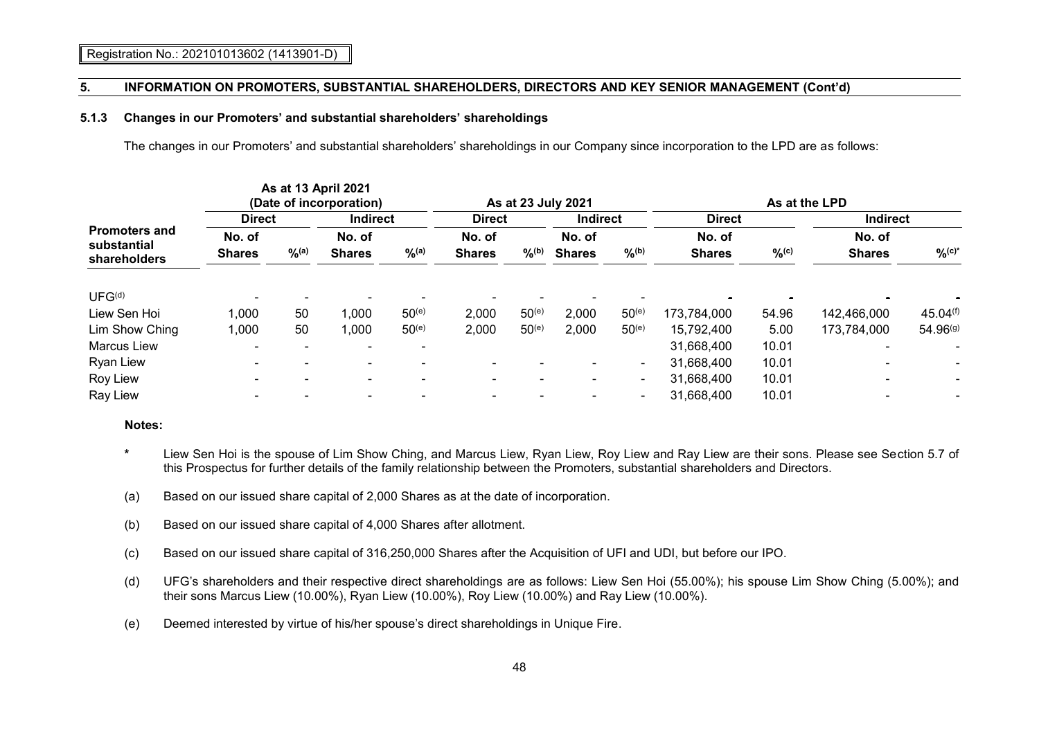#### **5.1.3 Changes in our Promoters' and substantial shareholders' shareholdings**

The changes in our Promoters' and substantial shareholders' shareholdings in our Company since incorporation to the LPD are as follows:

|                                                     |                         |                   | As at 13 April 2021<br>(Date of incorporation) |                   | As at 23 July 2021      |                     |                         | As at the LPD  |                         |          |                          |                         |
|-----------------------------------------------------|-------------------------|-------------------|------------------------------------------------|-------------------|-------------------------|---------------------|-------------------------|----------------|-------------------------|----------|--------------------------|-------------------------|
|                                                     | <b>Direct</b>           |                   | <b>Indirect</b>                                |                   | <b>Direct</b>           |                     | Indirect                |                | <b>Direct</b>           |          | <b>Indirect</b>          |                         |
| <b>Promoters and</b><br>substantial<br>shareholders | No. of<br><b>Shares</b> | $\frac{9}{6}$ (a) | No. of<br><b>Shares</b>                        | $\frac{9}{6}$ (a) | No. of<br><b>Shares</b> | $\%$ <sup>(b)</sup> | No. of<br><b>Shares</b> | $9/6^{(b)}$    | No. of<br><b>Shares</b> | $\%$ (c) | No. of<br><b>Shares</b>  | $O_{0}^{\prime}(c)^{*}$ |
| UFG <sup>(d)</sup>                                  | $\blacksquare$          |                   |                                                |                   |                         |                     |                         |                |                         |          |                          |                         |
| Liew Sen Hoi                                        | 1,000                   | 50                | 1,000                                          | $50^{(e)}$        | 2,000                   | $50^{(e)}$          | 2,000                   | $50^{(e)}$     | 173,784,000             | 54.96    | 142,466,000              | 45.04(f)                |
| Lim Show Ching                                      | 1,000                   | 50                | 1,000                                          | $50^{(e)}$        | 2,000                   | $50^{(e)}$          | 2,000                   | $50^{(e)}$     | 15,792,400              | 5.00     | 173,784,000              | 54.96(g)                |
| <b>Marcus Liew</b>                                  | $\blacksquare$          |                   |                                                |                   |                         |                     |                         |                | 31,668,400              | 10.01    | $\overline{\phantom{0}}$ |                         |
| <b>Ryan Liew</b>                                    |                         |                   |                                                |                   |                         |                     |                         | $\blacksquare$ | 31,668,400              | 10.01    |                          |                         |
| Roy Liew                                            | $\blacksquare$          |                   | $\blacksquare$                                 |                   | $\blacksquare$          |                     | $\blacksquare$          | $\blacksquare$ | 31,668,400              | 10.01    | $\blacksquare$           | ۰                       |
| Ray Liew                                            |                         |                   |                                                |                   |                         |                     |                         | -              | 31,668,400              | 10.01    |                          |                         |

#### **Notes:**

- **\*** Liew Sen Hoi is the spouse of Lim Show Ching, and Marcus Liew, Ryan Liew, Roy Liew and Ray Liew are their sons. Please see Section 5.7 of this Prospectus for further details of the family relationship between the Promoters, substantial shareholders and Directors.
- (a) Based on our issued share capital of 2,000 Shares as at the date of incorporation.
- (b) Based on our issued share capital of 4,000 Shares after allotment.
- (c) Based on our issued share capital of 316,250,000 Shares after the Acquisition of UFI and UDI, but before our IPO.
- (d) UFG's shareholders and their respective direct shareholdings are as follows: Liew Sen Hoi (55.00%); his spouse Lim Show Ching (5.00%); and their sons Marcus Liew (10.00%), Ryan Liew (10.00%), Roy Liew (10.00%) and Ray Liew (10.00%).
- (e) Deemed interested by virtue of his/her spouse's direct shareholdings in Unique Fire.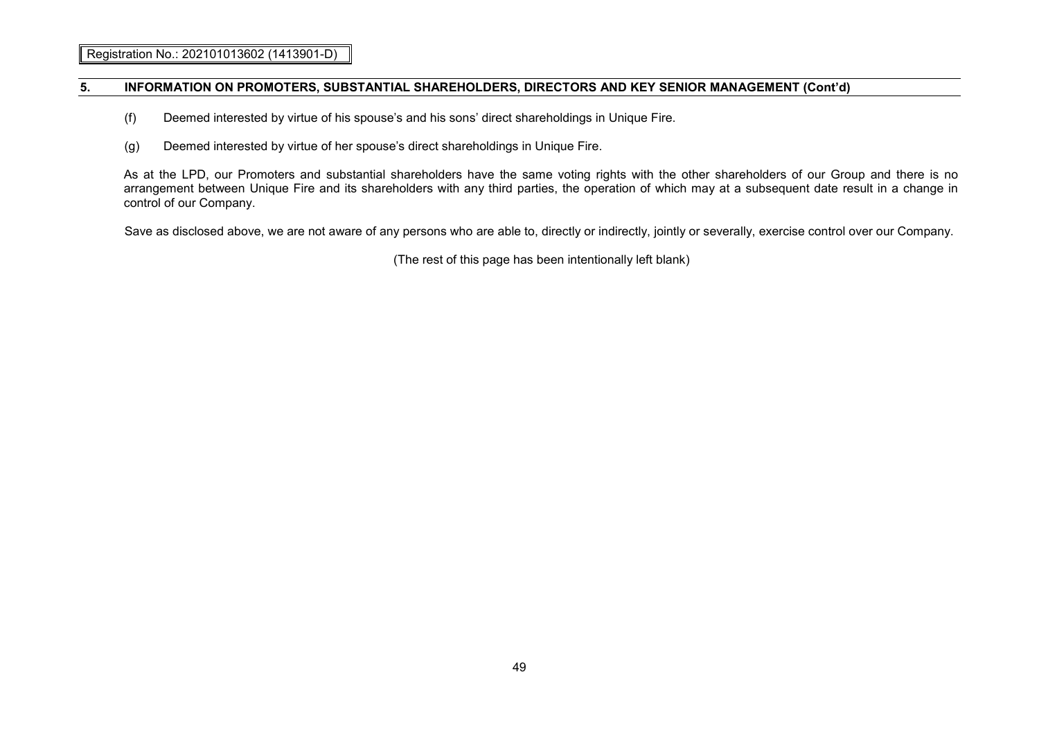- (f) Deemed interested by virtue of his spouse's and his sons' direct shareholdings in Unique Fire.
- (g) Deemed interested by virtue of her spouse's direct shareholdings in Unique Fire.

As at the LPD, our Promoters and substantial shareholders have the same voting rights with the other shareholders of our Group and there is no arrangement between Unique Fire and its shareholders with any third parties, the operation of which may at a subsequent date result in a change in control of our Company.

Save as disclosed above, we are not aware of any persons who are able to, directly or indirectly, jointly or severally, exercise control over our Company.

(The rest of this page has been intentionally left blank)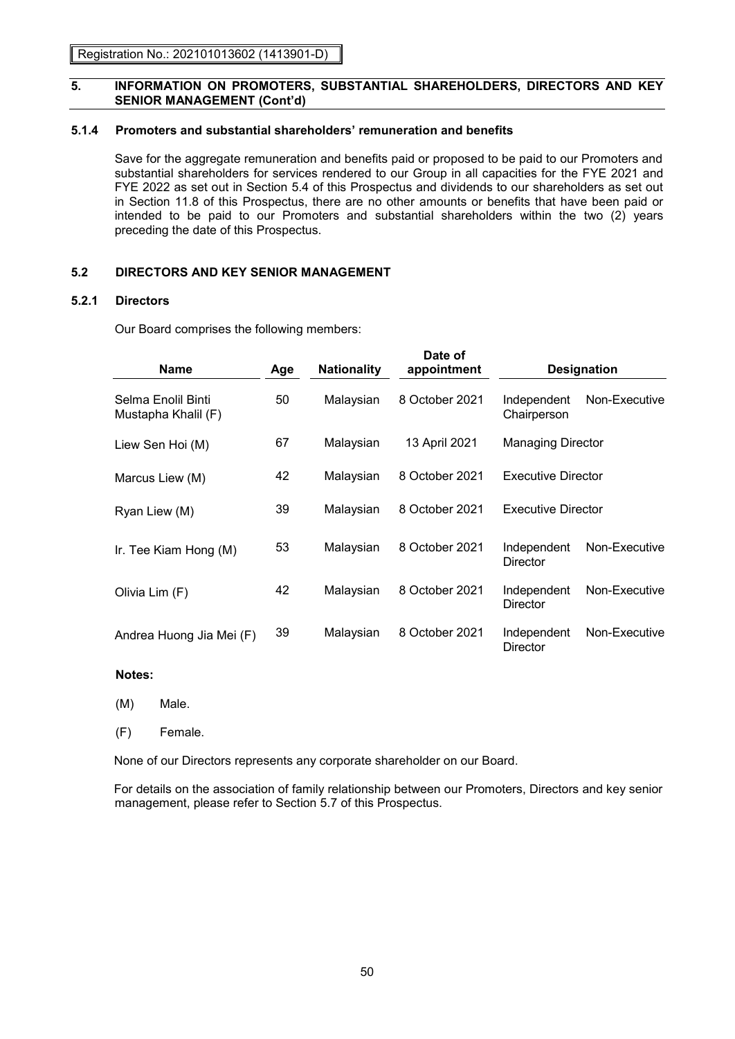# **5.1.4 Promoters and substantial shareholders' remuneration and benefits**

Save for the aggregate remuneration and benefits paid or proposed to be paid to our Promoters and substantial shareholders for services rendered to our Group in all capacities for the FYE 2021 and FYE 2022 as set out in Section 5.4 of this Prospectus and dividends to our shareholders as set out in Section 11.8 of this Prospectus, there are no other amounts or benefits that have been paid or intended to be paid to our Promoters and substantial shareholders within the two (2) years preceding the date of this Prospectus.

**Date of** 

# **5.2 DIRECTORS AND KEY SENIOR MANAGEMENT**

### **5.2.1 Directors**

Our Board comprises the following members:

| <b>Name</b>                               | Age | <b>Nationality</b> | <b>Date of</b><br>appointment |                            | <b>Designation</b> |
|-------------------------------------------|-----|--------------------|-------------------------------|----------------------------|--------------------|
| Selma Enolil Binti<br>Mustapha Khalil (F) | 50  | Malaysian          | 8 October 2021                | Independent<br>Chairperson | Non-Executive      |
| Liew Sen Hoi (M)                          | 67  | Malaysian          | 13 April 2021                 | <b>Managing Director</b>   |                    |
| Marcus Liew (M)                           | 42  | Malaysian          | 8 October 2021                | <b>Executive Director</b>  |                    |
| Ryan Liew (M)                             | 39  | Malaysian          | 8 October 2021                | <b>Executive Director</b>  |                    |
| Ir. Tee Kiam Hong (M)                     | 53  | Malaysian          | 8 October 2021                | Independent<br>Director    | Non-Executive      |
| Olivia Lim (F)                            | 42  | Malaysian          | 8 October 2021                | Independent<br>Director    | Non-Executive      |
| Andrea Huong Jia Mei (F)                  | 39  | Malaysian          | 8 October 2021                | Independent<br>Director    | Non-Executive      |

#### **Notes:**

(M) Male.

(F) Female.

None of our Directors represents any corporate shareholder on our Board.

For details on the association of family relationship between our Promoters, Directors and key senior management, please refer to Section 5.7 of this Prospectus.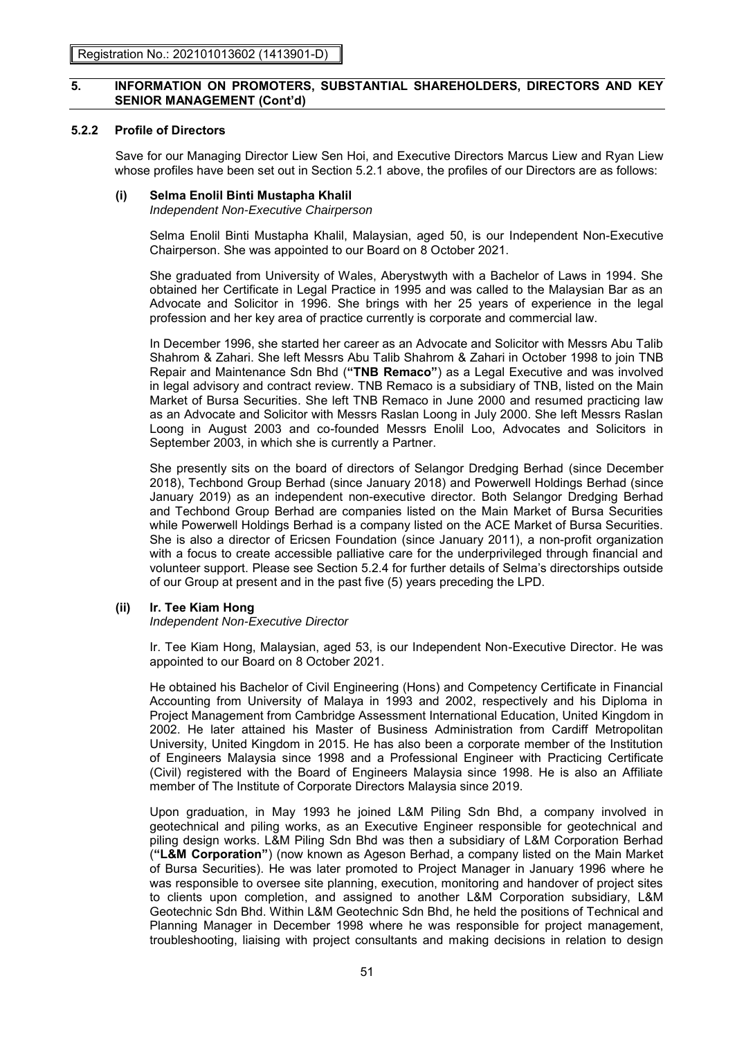# **5.2.2 Profile of Directors**

Save for our Managing Director Liew Sen Hoi, and Executive Directors Marcus Liew and Ryan Liew whose profiles have been set out in Section 5.2.1 above, the profiles of our Directors are as follows:

### **(i) Selma Enolil Binti Mustapha Khalil**

*Independent Non-Executive Chairperson*

Selma Enolil Binti Mustapha Khalil, Malaysian, aged 50, is our Independent Non-Executive Chairperson. She was appointed to our Board on 8 October 2021.

She graduated from University of Wales, Aberystwyth with a Bachelor of Laws in 1994. She obtained her Certificate in Legal Practice in 1995 and was called to the Malaysian Bar as an Advocate and Solicitor in 1996. She brings with her 25 years of experience in the legal profession and her key area of practice currently is corporate and commercial law.

In December 1996, she started her career as an Advocate and Solicitor with Messrs Abu Talib Shahrom & Zahari. She left Messrs Abu Talib Shahrom & Zahari in October 1998 to join TNB Repair and Maintenance Sdn Bhd (**"TNB Remaco"**) as a Legal Executive and was involved in legal advisory and contract review. TNB Remaco is a subsidiary of TNB, listed on the Main Market of Bursa Securities. She left TNB Remaco in June 2000 and resumed practicing law as an Advocate and Solicitor with Messrs Raslan Loong in July 2000. She left Messrs Raslan Loong in August 2003 and co-founded Messrs Enolil Loo, Advocates and Solicitors in September 2003, in which she is currently a Partner.

She presently sits on the board of directors of Selangor Dredging Berhad (since December 2018), Techbond Group Berhad (since January 2018) and Powerwell Holdings Berhad (since January 2019) as an independent non-executive director. Both Selangor Dredging Berhad and Techbond Group Berhad are companies listed on the Main Market of Bursa Securities while Powerwell Holdings Berhad is a company listed on the ACE Market of Bursa Securities. She is also a director of Ericsen Foundation (since January 2011), a non-profit organization with a focus to create accessible palliative care for the underprivileged through financial and volunteer support. Please see Section 5.2.4 for further details of Selma's directorships outside of our Group at present and in the past five (5) years preceding the LPD.

### **(ii) Ir. Tee Kiam Hong**

### *Independent Non-Executive Director*

Ir. Tee Kiam Hong, Malaysian, aged 53, is our Independent Non-Executive Director. He was appointed to our Board on 8 October 2021.

He obtained his Bachelor of Civil Engineering (Hons) and Competency Certificate in Financial Accounting from University of Malaya in 1993 and 2002, respectively and his Diploma in Project Management from Cambridge Assessment International Education, United Kingdom in 2002. He later attained his Master of Business Administration from Cardiff Metropolitan University, United Kingdom in 2015. He has also been a corporate member of the Institution of Engineers Malaysia since 1998 and a Professional Engineer with Practicing Certificate (Civil) registered with the Board of Engineers Malaysia since 1998. He is also an Affiliate member of The Institute of Corporate Directors Malaysia since 2019.

Upon graduation, in May 1993 he joined L&M Piling Sdn Bhd, a company involved in geotechnical and piling works, as an Executive Engineer responsible for geotechnical and piling design works. L&M Piling Sdn Bhd was then a subsidiary of L&M Corporation Berhad (**"L&M Corporation"**) (now known as Ageson Berhad, a company listed on the Main Market of Bursa Securities). He was later promoted to Project Manager in January 1996 where he was responsible to oversee site planning, execution, monitoring and handover of project sites to clients upon completion, and assigned to another L&M Corporation subsidiary, L&M Geotechnic Sdn Bhd. Within L&M Geotechnic Sdn Bhd, he held the positions of Technical and Planning Manager in December 1998 where he was responsible for project management, troubleshooting, liaising with project consultants and making decisions in relation to design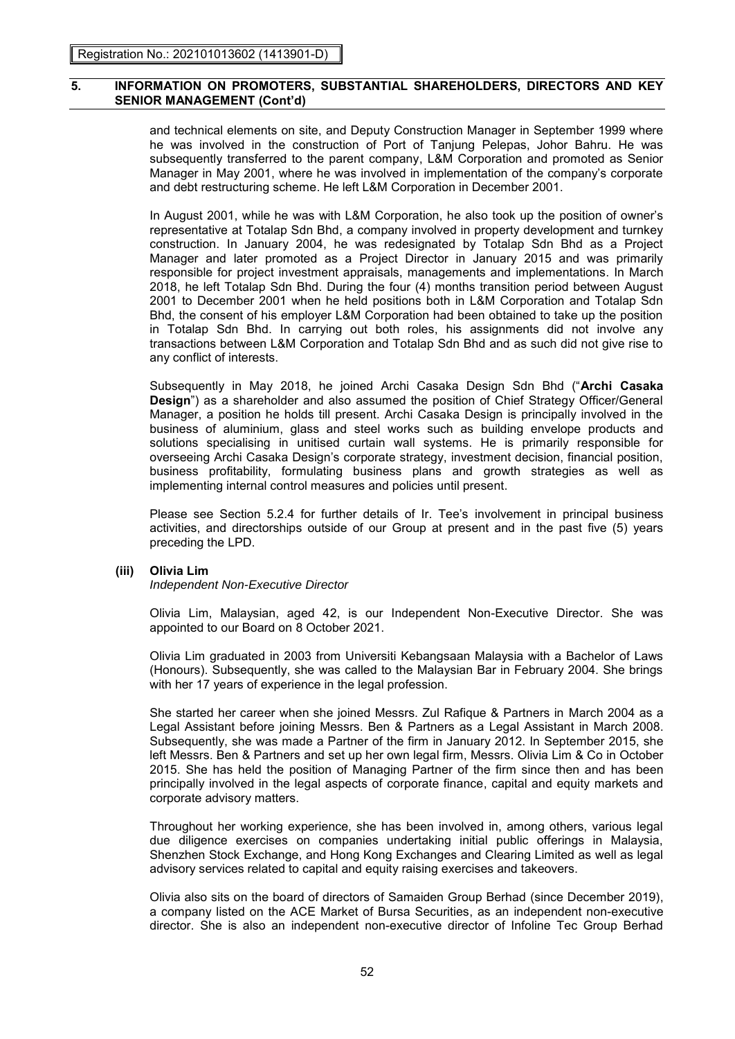and technical elements on site, and Deputy Construction Manager in September 1999 where he was involved in the construction of Port of Tanjung Pelepas, Johor Bahru. He was subsequently transferred to the parent company, L&M Corporation and promoted as Senior Manager in May 2001, where he was involved in implementation of the company's corporate and debt restructuring scheme. He left L&M Corporation in December 2001.

In August 2001, while he was with L&M Corporation, he also took up the position of owner's representative at Totalap Sdn Bhd, a company involved in property development and turnkey construction. In January 2004, he was redesignated by Totalap Sdn Bhd as a Project Manager and later promoted as a Project Director in January 2015 and was primarily responsible for project investment appraisals, managements and implementations. In March 2018, he left Totalap Sdn Bhd. During the four (4) months transition period between August 2001 to December 2001 when he held positions both in L&M Corporation and Totalap Sdn Bhd, the consent of his employer L&M Corporation had been obtained to take up the position in Totalap Sdn Bhd. In carrying out both roles, his assignments did not involve any transactions between L&M Corporation and Totalap Sdn Bhd and as such did not give rise to any conflict of interests.

Subsequently in May 2018, he joined Archi Casaka Design Sdn Bhd ("**Archi Casaka Design**") as a shareholder and also assumed the position of Chief Strategy Officer/General Manager, a position he holds till present. Archi Casaka Design is principally involved in the business of aluminium, glass and steel works such as building envelope products and solutions specialising in unitised curtain wall systems. He is primarily responsible for overseeing Archi Casaka Design's corporate strategy, investment decision, financial position, business profitability, formulating business plans and growth strategies as well as implementing internal control measures and policies until present.

Please see Section 5.2.4 for further details of Ir. Tee's involvement in principal business activities, and directorships outside of our Group at present and in the past five (5) years preceding the LPD.

### **(iii) Olivia Lim**

*Independent Non-Executive Director*

Olivia Lim, Malaysian, aged 42, is our Independent Non-Executive Director. She was appointed to our Board on 8 October 2021.

Olivia Lim graduated in 2003 from Universiti Kebangsaan Malaysia with a Bachelor of Laws (Honours). Subsequently, she was called to the Malaysian Bar in February 2004. She brings with her 17 years of experience in the legal profession.

She started her career when she joined Messrs. Zul Rafique & Partners in March 2004 as a Legal Assistant before joining Messrs. Ben & Partners as a Legal Assistant in March 2008. Subsequently, she was made a Partner of the firm in January 2012. In September 2015, she left Messrs. Ben & Partners and set up her own legal firm, Messrs. Olivia Lim & Co in October 2015. She has held the position of Managing Partner of the firm since then and has been principally involved in the legal aspects of corporate finance, capital and equity markets and corporate advisory matters.

Throughout her working experience, she has been involved in, among others, various legal due diligence exercises on companies undertaking initial public offerings in Malaysia, Shenzhen Stock Exchange, and Hong Kong Exchanges and Clearing Limited as well as legal advisory services related to capital and equity raising exercises and takeovers.

Olivia also sits on the board of directors of Samaiden Group Berhad (since December 2019), a company listed on the ACE Market of Bursa Securities, as an independent non-executive director. She is also an independent non-executive director of Infoline Tec Group Berhad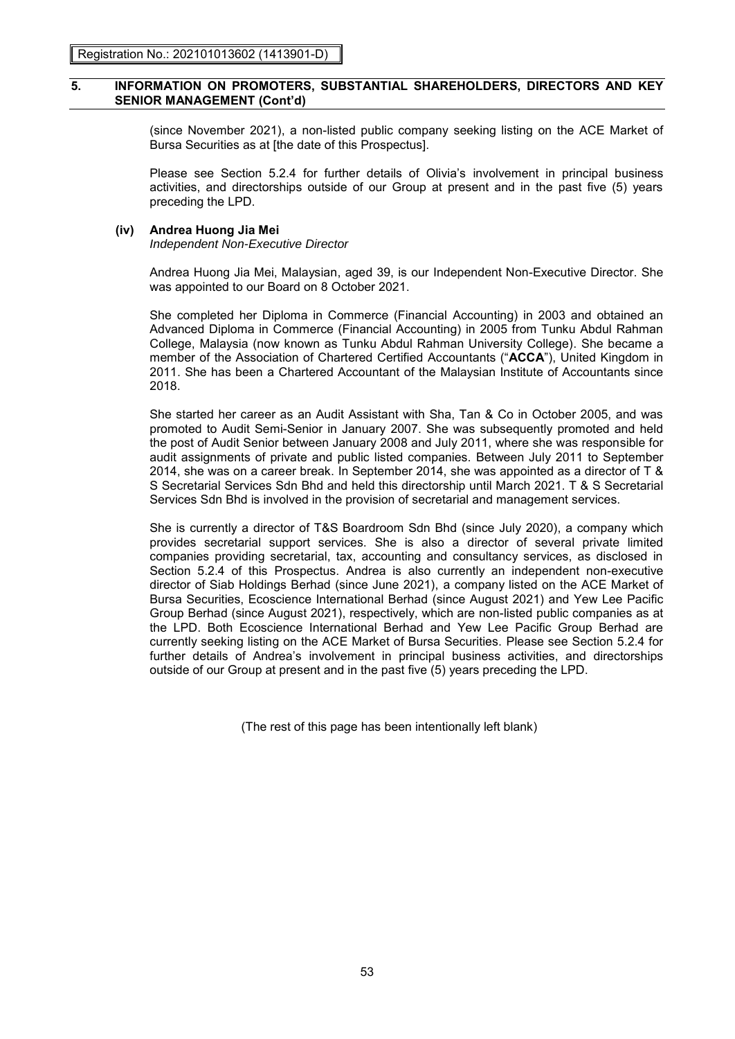(since November 2021), a non-listed public company seeking listing on the ACE Market of Bursa Securities as at [the date of this Prospectus].

Please see Section 5.2.4 for further details of Olivia's involvement in principal business activities, and directorships outside of our Group at present and in the past five (5) years preceding the LPD.

### **(iv) Andrea Huong Jia Mei**

*Independent Non-Executive Director*

Andrea Huong Jia Mei, Malaysian, aged 39, is our Independent Non-Executive Director. She was appointed to our Board on 8 October 2021.

She completed her Diploma in Commerce (Financial Accounting) in 2003 and obtained an Advanced Diploma in Commerce (Financial Accounting) in 2005 from Tunku Abdul Rahman College, Malaysia (now known as Tunku Abdul Rahman University College). She became a member of the Association of Chartered Certified Accountants ("**ACCA**"), United Kingdom in 2011. She has been a Chartered Accountant of the Malaysian Institute of Accountants since 2018.

She started her career as an Audit Assistant with Sha, Tan & Co in October 2005, and was promoted to Audit Semi-Senior in January 2007. She was subsequently promoted and held the post of Audit Senior between January 2008 and July 2011, where she was responsible for audit assignments of private and public listed companies. Between July 2011 to September 2014, she was on a career break. In September 2014, she was appointed as a director of T & S Secretarial Services Sdn Bhd and held this directorship until March 2021. T & S Secretarial Services Sdn Bhd is involved in the provision of secretarial and management services.

She is currently a director of T&S Boardroom Sdn Bhd (since July 2020), a company which provides secretarial support services. She is also a director of several private limited companies providing secretarial, tax, accounting and consultancy services, as disclosed in Section 5.2.4 of this Prospectus. Andrea is also currently an independent non-executive director of Siab Holdings Berhad (since June 2021), a company listed on the ACE Market of Bursa Securities, Ecoscience International Berhad (since August 2021) and Yew Lee Pacific Group Berhad (since August 2021), respectively, which are non-listed public companies as at the LPD. Both Ecoscience International Berhad and Yew Lee Pacific Group Berhad are currently seeking listing on the ACE Market of Bursa Securities. Please see Section 5.2.4 for further details of Andrea's involvement in principal business activities, and directorships outside of our Group at present and in the past five (5) years preceding the LPD.

(The rest of this page has been intentionally left blank)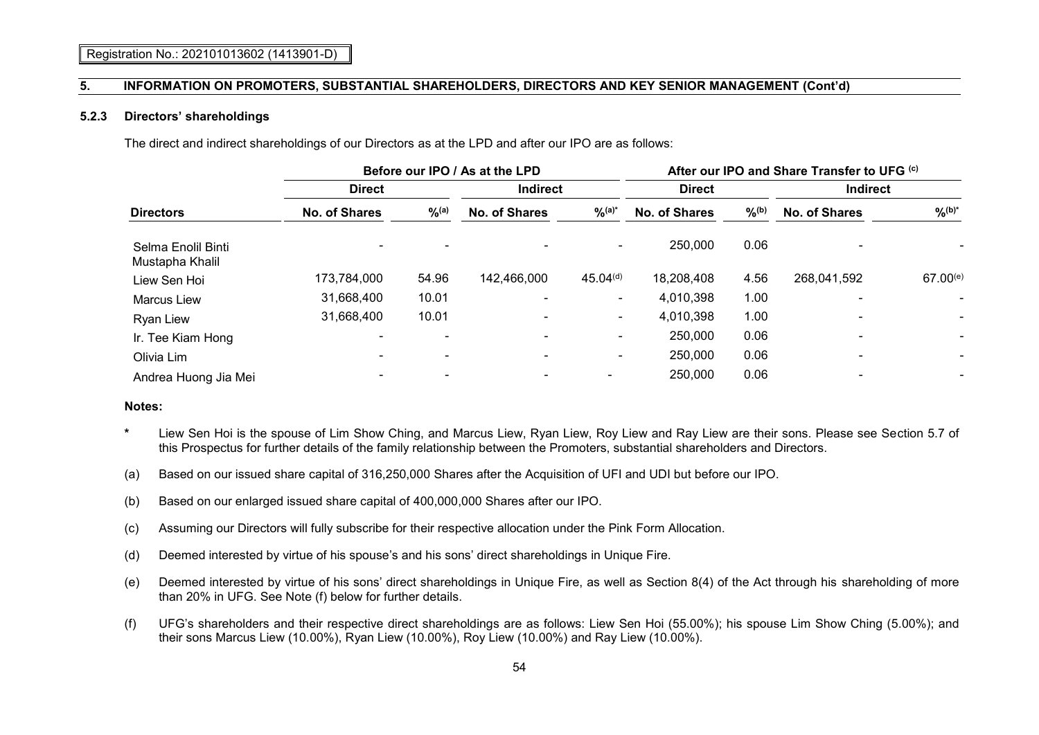#### **5.2.3 Directors' shareholdings**

The direct and indirect shareholdings of our Directors as at the LPD and after our IPO are as follows:

|                                       |                      | Before our IPO / As at the LPD | After our IPO and Share Transfer to UFG (c) |                          |               |               |               |                    |  |
|---------------------------------------|----------------------|--------------------------------|---------------------------------------------|--------------------------|---------------|---------------|---------------|--------------------|--|
|                                       | <b>Direct</b>        |                                |                                             | <b>Indirect</b>          |               | <b>Direct</b> |               | <b>Indirect</b>    |  |
| <b>Directors</b>                      | <b>No. of Shares</b> | $9/6$ (a)                      | <b>No. of Shares</b>                        | $\frac{9}{6}$ (a)*       | No. of Shares | $9/6^{(b)}$   | No. of Shares | $\frac{9}{6}$ (b)* |  |
| Selma Enolil Binti<br>Mustapha Khalil |                      |                                |                                             |                          | 250,000       | 0.06          |               |                    |  |
| Liew Sen Hoi                          | 173,784,000          | 54.96                          | 142,466,000                                 | 45.04 <sup>(d)</sup>     | 18,208,408    | 4.56          | 268,041,592   | $67.00^{(e)}$      |  |
| <b>Marcus Liew</b>                    | 31,668,400           | 10.01                          |                                             | $\overline{\phantom{0}}$ | 4,010,398     | 1.00          |               | ۰                  |  |
| Ryan Liew                             | 31,668,400           | 10.01                          |                                             | ۰.                       | 4,010,398     | 1.00          |               |                    |  |
| Ir. Tee Kiam Hong                     |                      | $\overline{\phantom{a}}$       |                                             |                          | 250,000       | 0.06          |               |                    |  |
| Olivia Lim                            | -                    | ۰                              |                                             | ۰.                       | 250,000       | 0.06          |               | ۰                  |  |
| Andrea Huong Jia Mei                  |                      |                                |                                             |                          | 250,000       | 0.06          |               |                    |  |

#### **Notes:**

- **\*** Liew Sen Hoi is the spouse of Lim Show Ching, and Marcus Liew, Ryan Liew, Roy Liew and Ray Liew are their sons. Please see Section 5.7 of this Prospectus for further details of the family relationship between the Promoters, substantial shareholders and Directors.
- (a) Based on our issued share capital of 316,250,000 Shares after the Acquisition of UFI and UDI but before our IPO.
- (b) Based on our enlarged issued share capital of 400,000,000 Shares after our IPO.
- (c) Assuming our Directors will fully subscribe for their respective allocation under the Pink Form Allocation.
- (d) Deemed interested by virtue of his spouse's and his sons' direct shareholdings in Unique Fire.
- (e) Deemed interested by virtue of his sons' direct shareholdings in Unique Fire, as well as Section 8(4) of the Act through his shareholding of more than 20% in UFG. See Note (f) below for further details.
- (f) UFG's shareholders and their respective direct shareholdings are as follows: Liew Sen Hoi (55.00%); his spouse Lim Show Ching (5.00%); and their sons Marcus Liew (10.00%), Ryan Liew (10.00%), Roy Liew (10.00%) and Ray Liew (10.00%).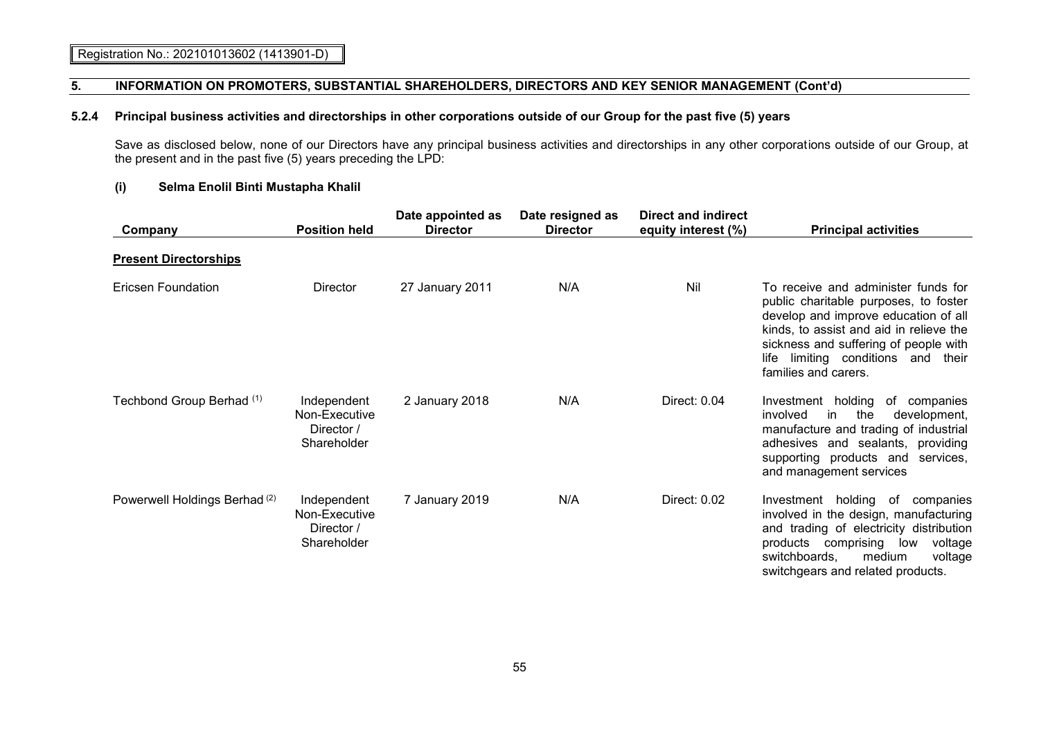## **5.2.4 Principal business activities and directorships in other corporations outside of our Group for the past five (5) years**

Save as disclosed below, none of our Directors have any principal business activities and directorships in any other corporations outside of our Group, at the present and in the past five (5) years preceding the LPD:

# **(i) Selma Enolil Binti Mustapha Khalil**

| Company                                  | <b>Position held</b>                                      | Date appointed as<br><b>Director</b> | Date resigned as<br><b>Director</b> | <b>Direct and indirect</b><br>equity interest (%) | <b>Principal activities</b>                                                                                                                                                                                                                                               |
|------------------------------------------|-----------------------------------------------------------|--------------------------------------|-------------------------------------|---------------------------------------------------|---------------------------------------------------------------------------------------------------------------------------------------------------------------------------------------------------------------------------------------------------------------------------|
| <b>Present Directorships</b>             |                                                           |                                      |                                     |                                                   |                                                                                                                                                                                                                                                                           |
| Ericsen Foundation                       | Director                                                  | 27 January 2011                      | N/A                                 | Nil                                               | To receive and administer funds for<br>public charitable purposes, to foster<br>develop and improve education of all<br>kinds, to assist and aid in relieve the<br>sickness and suffering of people with<br>limiting conditions and their<br>life<br>families and carers. |
| Techbond Group Berhad (1)                | Independent<br>Non-Executive<br>Director /<br>Shareholder | 2 January 2018                       | N/A                                 | Direct: 0.04                                      | Investment holding<br>of companies<br>the<br>involved<br>in<br>development,<br>manufacture and trading of industrial<br>adhesives and sealants, providing<br>supporting products and services,<br>and management services                                                 |
| Powerwell Holdings Berhad <sup>(2)</sup> | Independent<br>Non-Executive<br>Director /<br>Shareholder | 7 January 2019                       | N/A                                 | Direct: 0.02                                      | Investment holding of companies<br>involved in the design, manufacturing<br>and trading of electricity distribution<br>products comprising<br>low<br>voltage<br>switchboards,<br>medium<br>voltage<br>switchgears and related products.                                   |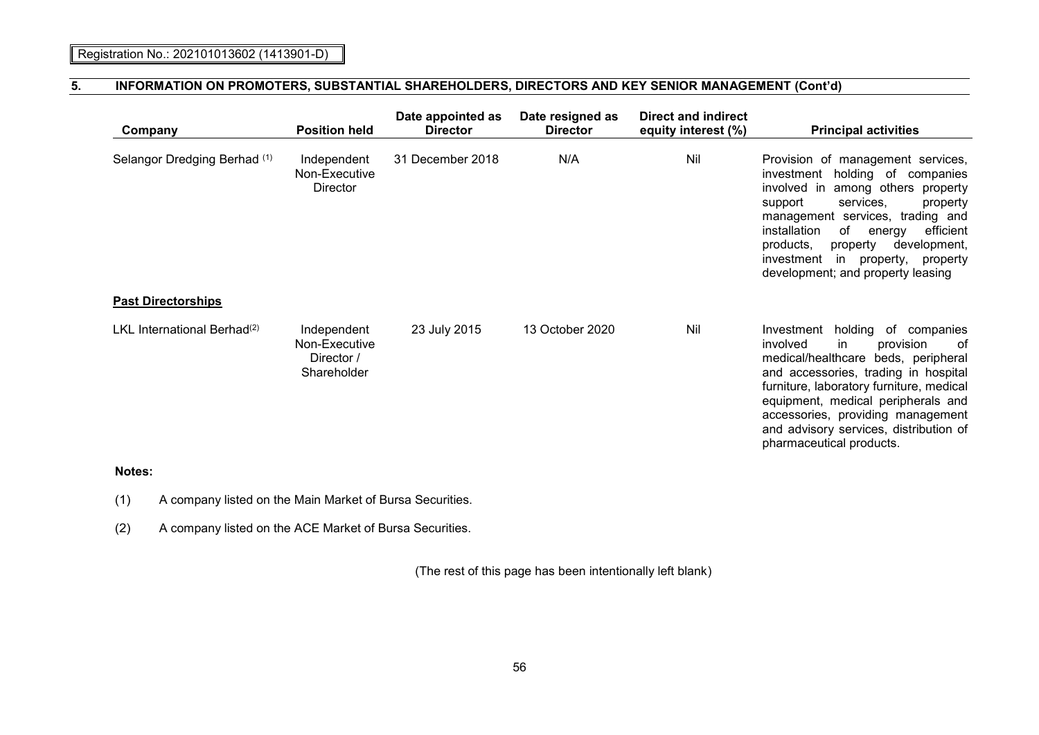| Company                                 | <b>Position held</b>                                      | Date appointed as<br><b>Director</b> | Date resigned as<br><b>Director</b> | <b>Direct and indirect</b><br>equity interest (%) | <b>Principal activities</b>                                                                                                                                                                                                                                                                                                                                     |
|-----------------------------------------|-----------------------------------------------------------|--------------------------------------|-------------------------------------|---------------------------------------------------|-----------------------------------------------------------------------------------------------------------------------------------------------------------------------------------------------------------------------------------------------------------------------------------------------------------------------------------------------------------------|
| Selangor Dredging Berhad (1)            | Independent<br>Non-Executive<br><b>Director</b>           | 31 December 2018                     | N/A                                 | Nil                                               | Provision of management services,<br>holding of companies<br>investment<br>involved in<br>among others property<br>services,<br>support<br>property<br>management services, trading and<br>installation<br>of<br>efficient<br>energy<br>products,<br>property<br>development,<br>investment<br>in<br>property,<br>property<br>development; and property leasing |
| <b>Past Directorships</b>               |                                                           |                                      |                                     |                                                   |                                                                                                                                                                                                                                                                                                                                                                 |
| LKL International Berhad <sup>(2)</sup> | Independent<br>Non-Executive<br>Director /<br>Shareholder | 23 July 2015                         | 13 October 2020                     | Nil                                               | holding<br>of companies<br>Investment<br>involved<br>in<br>0f<br>provision<br>medical/healthcare beds, peripheral<br>and accessories, trading in hospital<br>furniture, laboratory furniture, medical<br>equipment, medical peripherals and<br>accessories, providing management<br>and advisory services, distribution of<br>pharmaceutical products.          |

# **Notes:**

(1) A company listed on the Main Market of Bursa Securities.

(2) A company listed on the ACE Market of Bursa Securities.

(The rest of this page has been intentionally left blank)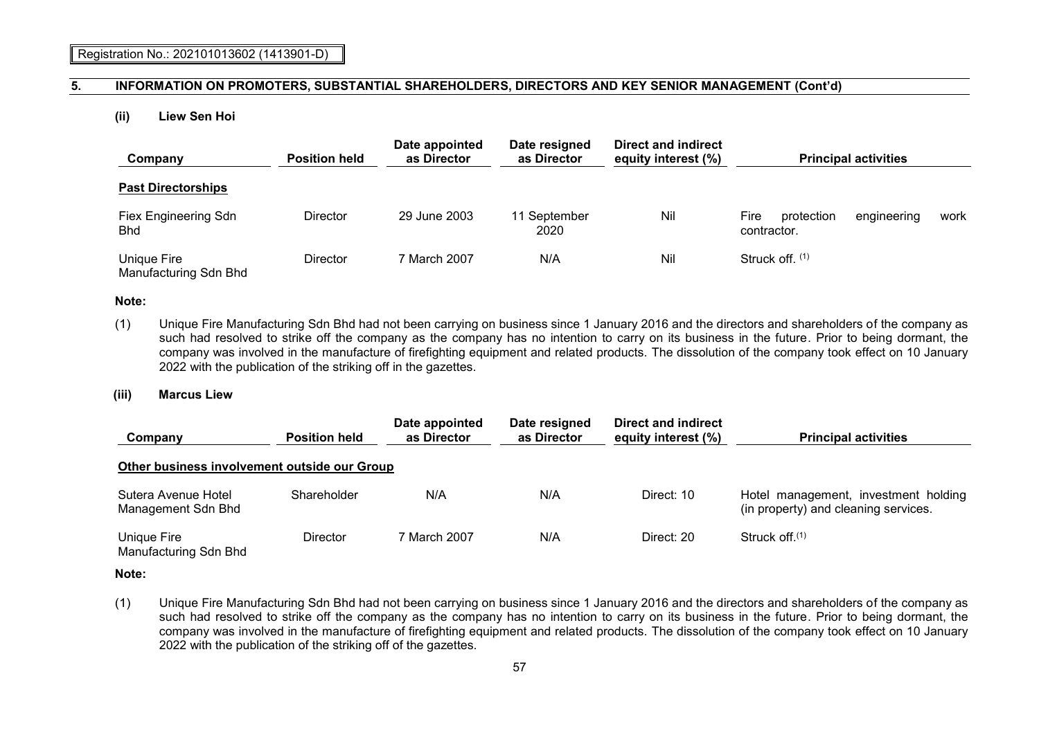#### **(ii) Liew Sen Hoi**

| Company                              | <b>Position held</b> | Date appointed<br>as Director | Date resigned<br>as Director | Direct and indirect<br>equity interest (%) | <b>Principal activities</b>                      |      |
|--------------------------------------|----------------------|-------------------------------|------------------------------|--------------------------------------------|--------------------------------------------------|------|
| <b>Past Directorships</b>            |                      |                               |                              |                                            |                                                  |      |
| Fiex Engineering Sdn<br><b>Bhd</b>   | Director             | 29 June 2003                  | 11 September<br>2020         | Nil                                        | Fire<br>protection<br>engineering<br>contractor. | work |
| Unique Fire<br>Manufacturing Sdn Bhd | <b>Director</b>      | 7 March 2007                  | N/A                          | Nil                                        | Struck off. (1)                                  |      |

#### **Note:**

(1) Unique Fire Manufacturing Sdn Bhd had not been carrying on business since 1 January 2016 and the directors and shareholders of the company as such had resolved to strike off the company as the company has no intention to carry on its business in the future. Prior to being dormant, the company was involved in the manufacture of firefighting equipment and related products. The dissolution of the company took effect on 10 January 2022 with the publication of the striking off in the gazettes.

#### **(iii) Marcus Liew**

| Company                                      | <b>Position held</b> | Date appointed<br>as Director | Date resigned<br>as Director | Direct and indirect<br>equity interest (%) | <b>Principal activities</b>                                                  |
|----------------------------------------------|----------------------|-------------------------------|------------------------------|--------------------------------------------|------------------------------------------------------------------------------|
| Other business involvement outside our Group |                      |                               |                              |                                            |                                                                              |
| Sutera Avenue Hotel<br>Management Sdn Bhd    | Shareholder          | N/A                           | N/A                          | Direct: 10                                 | Hotel management, investment holding<br>(in property) and cleaning services. |
| Unique Fire<br>Manufacturing Sdn Bhd         | Director             | 7 March 2007                  | N/A                          | Direct: 20                                 | Struck of $(1)$                                                              |

#### **Note:**

(1) Unique Fire Manufacturing Sdn Bhd had not been carrying on business since 1 January 2016 and the directors and shareholders of the company as such had resolved to strike off the company as the company has no intention to carry on its business in the future. Prior to being dormant, the company was involved in the manufacture of firefighting equipment and related products. The dissolution of the company took effect on 10 January 2022 with the publication of the striking off of the gazettes.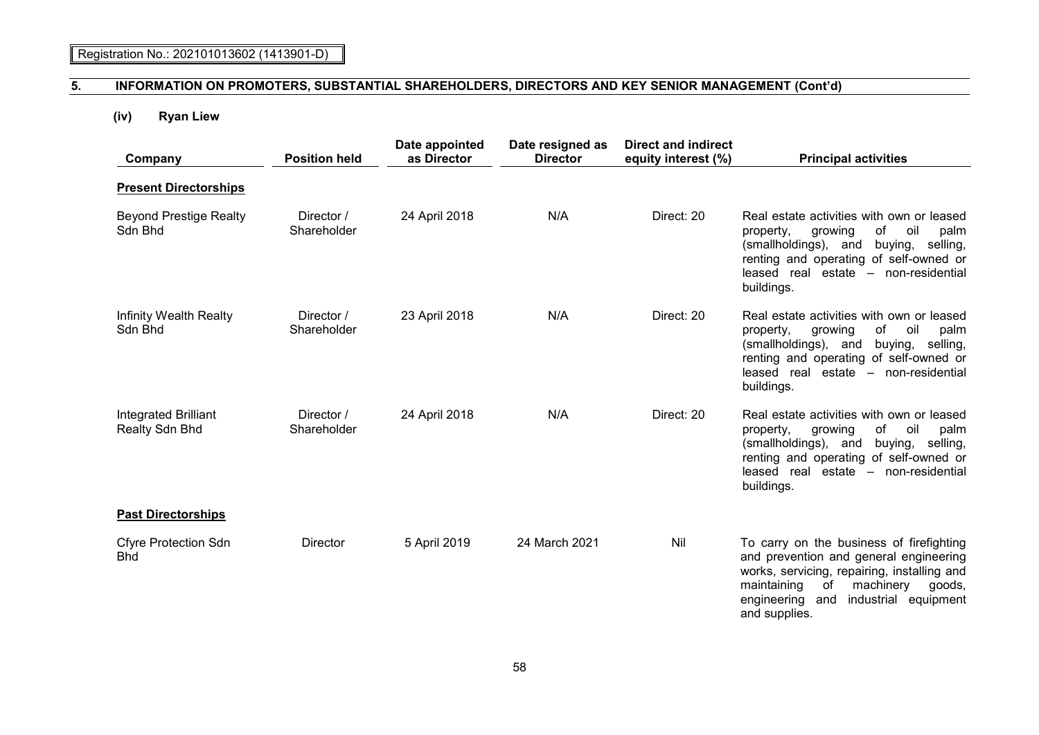# **(iv) Ryan Liew**

| Company                                       | <b>Position held</b>      | Date appointed<br>as Director | Date resigned as<br><b>Director</b> | <b>Direct and indirect</b><br>equity interest (%) | <b>Principal activities</b>                                                                                                                                                                                                               |
|-----------------------------------------------|---------------------------|-------------------------------|-------------------------------------|---------------------------------------------------|-------------------------------------------------------------------------------------------------------------------------------------------------------------------------------------------------------------------------------------------|
| <b>Present Directorships</b>                  |                           |                               |                                     |                                                   |                                                                                                                                                                                                                                           |
| <b>Beyond Prestige Realty</b><br>Sdn Bhd      | Director /<br>Shareholder | 24 April 2018                 | N/A                                 | Direct: 20                                        | Real estate activities with own or leased<br>of<br>growing<br>oil<br>property,<br>palm<br>(smallholdings), and<br>buying,<br>selling,<br>renting and operating of self-owned or<br>leased real estate - non-residential<br>buildings.     |
| Infinity Wealth Realty<br>Sdn Bhd             | Director /<br>Shareholder | 23 April 2018                 | N/A                                 | Direct: 20                                        | Real estate activities with own or leased<br>of<br>oil<br>property,<br>growing<br>palm<br>(smallholdings), and<br>buying,<br>selling,<br>renting and operating of self-owned or<br>leased real estate - non-residential<br>buildings.     |
| <b>Integrated Brilliant</b><br>Realty Sdn Bhd | Director /<br>Shareholder | 24 April 2018                 | N/A                                 | Direct: 20                                        | Real estate activities with own or leased<br>of<br>oil<br>property,<br>growing<br>palm<br>(smallholdings), and<br>buying, selling,<br>renting and operating of self-owned or<br>leased real estate - non-residential<br>buildings.        |
| <b>Past Directorships</b>                     |                           |                               |                                     |                                                   |                                                                                                                                                                                                                                           |
| <b>Cfyre Protection Sdn</b><br><b>Bhd</b>     | Director                  | 5 April 2019                  | 24 March 2021                       | Nil                                               | To carry on the business of firefighting<br>and prevention and general engineering<br>works, servicing, repairing, installing and<br>of<br>maintaining<br>machinery<br>goods,<br>engineering and<br>industrial equipment<br>and supplies. |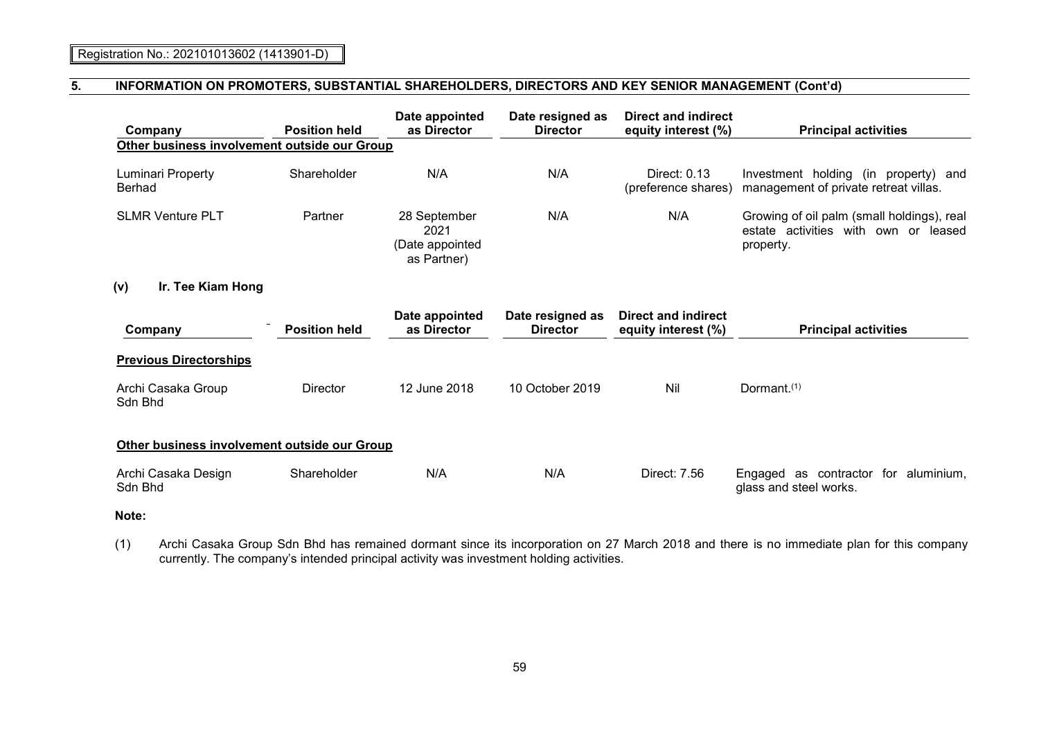| Company<br>Other business involvement outside our Group | <b>Position held</b> | Date appointed<br>as Director                          | Date resigned as<br><b>Director</b> | <b>Direct and indirect</b><br>equity interest (%) | <b>Principal activities</b>                                                                     |
|---------------------------------------------------------|----------------------|--------------------------------------------------------|-------------------------------------|---------------------------------------------------|-------------------------------------------------------------------------------------------------|
|                                                         |                      |                                                        |                                     |                                                   |                                                                                                 |
| Luminari Property<br><b>Berhad</b>                      | Shareholder          | N/A                                                    | N/A                                 | Direct: 0.13<br>(preference shares)               | Investment holding (in property) and<br>management of private retreat villas.                   |
| <b>SLMR Venture PLT</b>                                 | Partner              | 28 September<br>2021<br>(Date appointed<br>as Partner) | N/A                                 | N/A                                               | Growing of oil palm (small holdings), real<br>estate activities with own or leased<br>property. |
| Ir. Tee Kiam Hong<br>(v)                                |                      |                                                        |                                     |                                                   |                                                                                                 |
| Company                                                 | <b>Position held</b> | Date appointed<br>as Director                          | Date resigned as<br><b>Director</b> | Direct and indirect<br>equity interest (%)        | <b>Principal activities</b>                                                                     |
| <b>Previous Directorships</b>                           |                      |                                                        |                                     |                                                   |                                                                                                 |
| Archi Casaka Group<br>Sdn Bhd                           | <b>Director</b>      | 12 June 2018                                           | 10 October 2019                     | Nil                                               | Dormant. <sup>(1)</sup>                                                                         |
| Other business involvement outside our Group            |                      |                                                        |                                     |                                                   |                                                                                                 |
| Archi Casaka Design<br>Sdn Bhd                          | Shareholder          | N/A                                                    | N/A                                 | Direct: 7.56                                      | as contractor for aluminium,<br>Engaged<br>glass and steel works.                               |

# **Note:**

(1) Archi Casaka Group Sdn Bhd has remained dormant since its incorporation on 27 March 2018 and there is no immediate plan for this company currently. The company's intended principal activity was investment holding activities.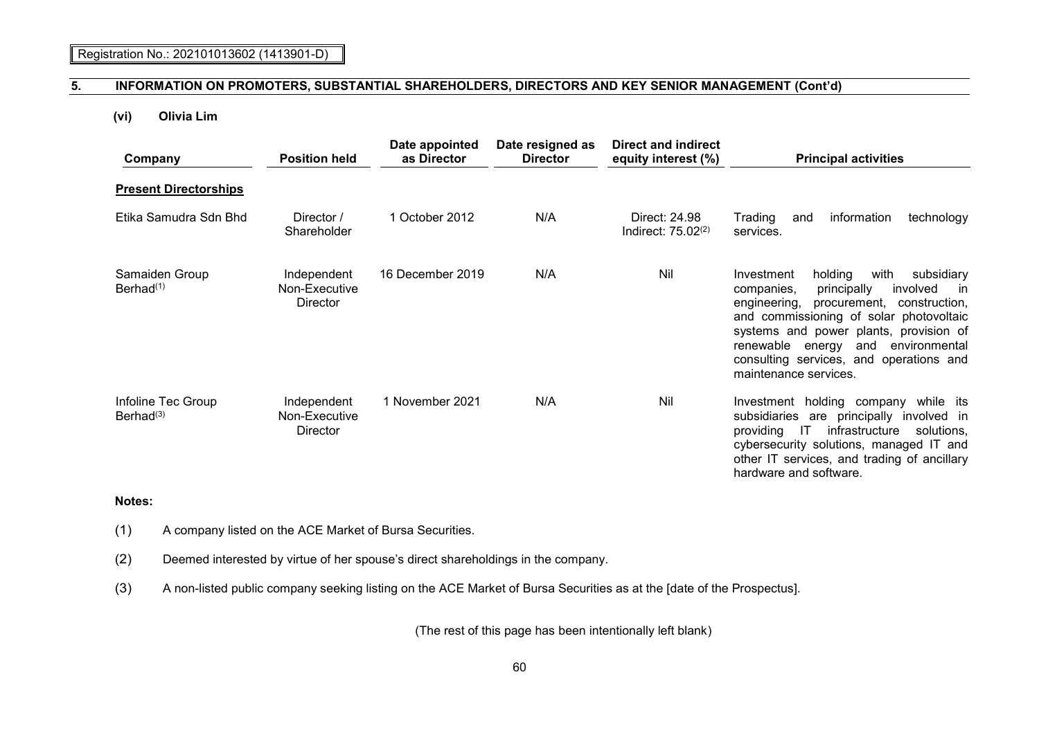# **(vi) Olivia Lim**

| Company                                 | <b>Position held</b>                            | Date appointed<br>as Director | Date resigned as<br><b>Director</b> | <b>Direct and indirect</b><br>equity interest (%) | <b>Principal activities</b>                                                                                                                                                                                                                                                                                                                    |
|-----------------------------------------|-------------------------------------------------|-------------------------------|-------------------------------------|---------------------------------------------------|------------------------------------------------------------------------------------------------------------------------------------------------------------------------------------------------------------------------------------------------------------------------------------------------------------------------------------------------|
| <b>Present Directorships</b>            |                                                 |                               |                                     |                                                   |                                                                                                                                                                                                                                                                                                                                                |
| Etika Samudra Sdn Bhd                   | Director /<br>Shareholder                       | 1 October 2012                | N/A                                 | Direct: 24.98<br>Indirect: $75.02(2)$             | Trading<br>information<br>technology<br>and<br>services.                                                                                                                                                                                                                                                                                       |
| Samaiden Group<br>Berhad <sup>(1)</sup> | Independent<br>Non-Executive<br><b>Director</b> | 16 December 2019              | N/A                                 | Nil                                               | holding<br>with<br>subsidiary<br>Investment<br>involved<br>companies,<br>principally<br>in.<br>engineering,<br>procurement, construction,<br>and commissioning of solar photovoltaic<br>systems and power plants, provision of<br>renewable energy<br>and<br>environmental<br>consulting services, and operations and<br>maintenance services. |
| Infoline Tec Group<br>Berhad $(3)$      | Independent<br>Non-Executive<br><b>Director</b> | 1 November 2021               | N/A                                 | Nil                                               | Investment holding company<br>while its<br>subsidiaries are principally involved in<br>$\overline{1}$<br>providing<br>infrastructure<br>solutions.<br>cybersecurity solutions, managed IT and<br>other IT services, and trading of ancillary<br>hardware and software.                                                                         |

# **Notes:**

- (1) A company listed on the ACE Market of Bursa Securities.
- (2) Deemed interested by virtue of her spouse's direct shareholdings in the company.
- (3) A non-listed public company seeking listing on the ACE Market of Bursa Securities as at the [date of the Prospectus].

(The rest of this page has been intentionally left blank)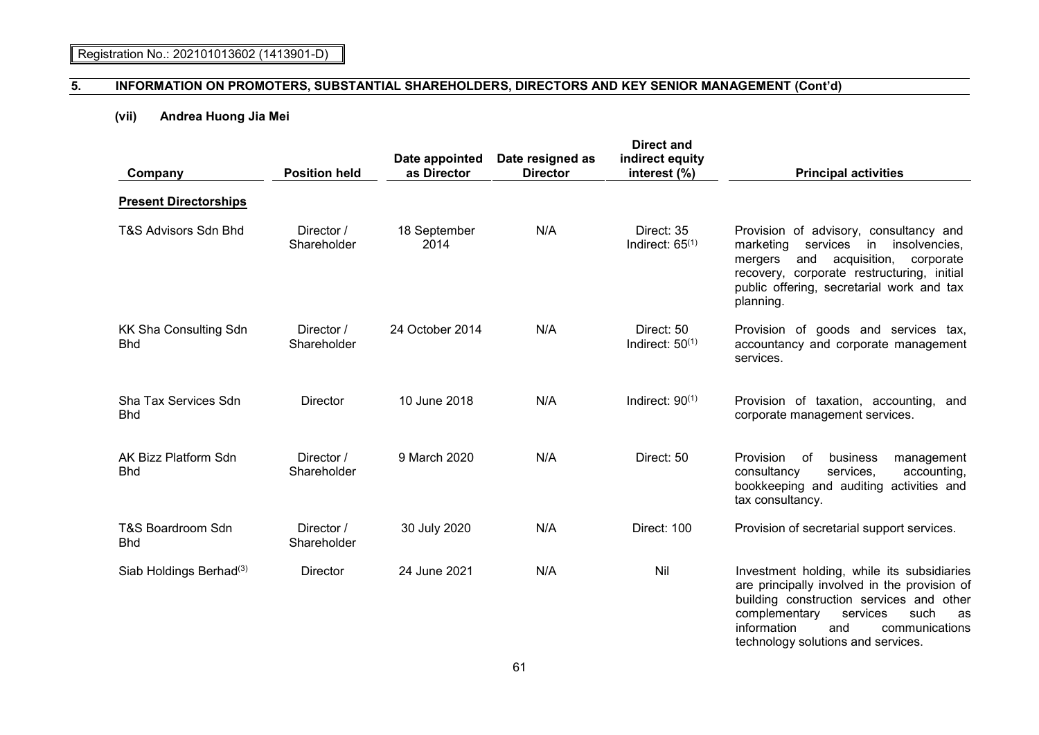# **(vii) Andrea Huong Jia Mei**

| Company                                    | <b>Position held</b>      | Date appointed<br>as Director | Date resigned as<br><b>Director</b> | <b>Direct and</b><br>indirect equity<br>interest (%) | <b>Principal activities</b>                                                                                                                                                                                                                                     |
|--------------------------------------------|---------------------------|-------------------------------|-------------------------------------|------------------------------------------------------|-----------------------------------------------------------------------------------------------------------------------------------------------------------------------------------------------------------------------------------------------------------------|
| <b>Present Directorships</b>               |                           |                               |                                     |                                                      |                                                                                                                                                                                                                                                                 |
| T&S Advisors Sdn Bhd                       | Director /<br>Shareholder | 18 September<br>2014          | N/A                                 | Direct: 35<br>Indirect: $65^{(1)}$                   | Provision of advisory, consultancy and<br>marketing<br>services<br>insolvencies,<br>in<br>acquisition,<br>and<br>mergers<br>corporate<br>recovery, corporate restructuring, initial<br>public offering, secretarial work and tax<br>planning.                   |
| <b>KK Sha Consulting Sdn</b><br><b>Bhd</b> | Director /<br>Shareholder | 24 October 2014               | N/A                                 | Direct: 50<br>Indirect: $50^{(1)}$                   | Provision of goods and services tax,<br>accountancy and corporate management<br>services.                                                                                                                                                                       |
| Sha Tax Services Sdn<br><b>Bhd</b>         | <b>Director</b>           | 10 June 2018                  | N/A                                 | Indirect: $90^{(1)}$                                 | Provision of taxation, accounting,<br>and<br>corporate management services.                                                                                                                                                                                     |
| AK Bizz Platform Sdn<br><b>Bhd</b>         | Director /<br>Shareholder | 9 March 2020                  | N/A                                 | Direct: 50                                           | Provision<br>business<br>of<br>management<br>consultancy<br>services.<br>accounting,<br>bookkeeping and auditing activities and<br>tax consultancy.                                                                                                             |
| T&S Boardroom Sdn<br><b>Bhd</b>            | Director /<br>Shareholder | 30 July 2020                  | N/A                                 | Direct: 100                                          | Provision of secretarial support services.                                                                                                                                                                                                                      |
| Siab Holdings Berhad <sup>(3)</sup>        | Director                  | 24 June 2021                  | N/A                                 | Nil                                                  | Investment holding, while its subsidiaries<br>are principally involved in the provision of<br>building construction services and other<br>complementary<br>services<br>such<br>as<br>information<br>and<br>communications<br>technology solutions and services. |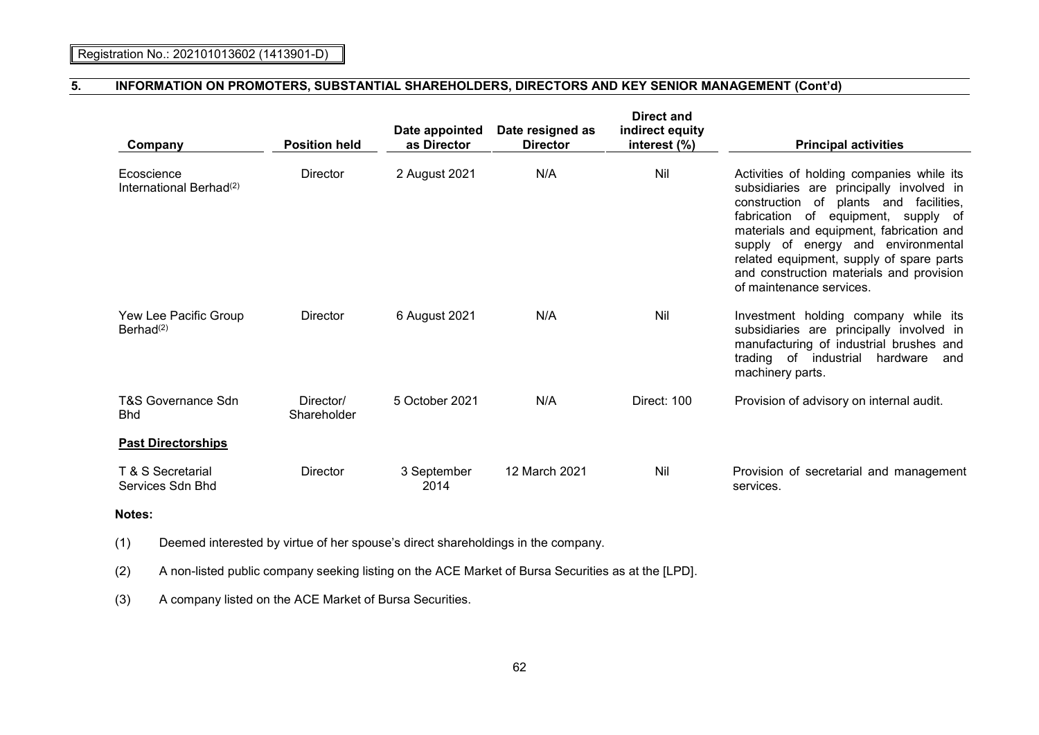| Company                                           | <b>Position held</b>     | Date appointed<br>as Director | Date resigned as<br><b>Director</b> | Direct and<br>indirect equity<br>interest (%) | <b>Principal activities</b>                                                                                                                                                                                                                                                                                                                                                           |
|---------------------------------------------------|--------------------------|-------------------------------|-------------------------------------|-----------------------------------------------|---------------------------------------------------------------------------------------------------------------------------------------------------------------------------------------------------------------------------------------------------------------------------------------------------------------------------------------------------------------------------------------|
| Ecoscience<br>International Berhad <sup>(2)</sup> | Director                 | 2 August 2021                 | N/A                                 | Nil                                           | Activities of holding companies while its<br>subsidiaries are principally involved in<br>construction of<br>plants and<br>facilities.<br>fabrication of equipment, supply of<br>materials and equipment, fabrication and<br>supply of energy and<br>environmental<br>related equipment, supply of spare parts<br>and construction materials and provision<br>of maintenance services. |
| Yew Lee Pacific Group<br>Berhad <sup>(2)</sup>    | Director                 | 6 August 2021                 | N/A                                 | Nil                                           | Investment holding company while its<br>subsidiaries are principally involved in<br>manufacturing of industrial brushes and<br>trading of industrial<br>hardware<br>and<br>machinery parts.                                                                                                                                                                                           |
| T&S Governance Sdn<br><b>Bhd</b>                  | Director/<br>Shareholder | 5 October 2021                | N/A                                 | Direct: 100                                   | Provision of advisory on internal audit.                                                                                                                                                                                                                                                                                                                                              |
| <b>Past Directorships</b>                         |                          |                               |                                     |                                               |                                                                                                                                                                                                                                                                                                                                                                                       |
| T & S Secretarial<br>Services Sdn Bhd             | Director                 | 3 September<br>2014           | 12 March 2021                       | Nil                                           | Provision of secretarial and management<br>services.                                                                                                                                                                                                                                                                                                                                  |

# **Notes:**

(1) Deemed interested by virtue of her spouse's direct shareholdings in the company.

(2) A non-listed public company seeking listing on the ACE Market of Bursa Securities as at the [LPD].

(3) A company listed on the ACE Market of Bursa Securities.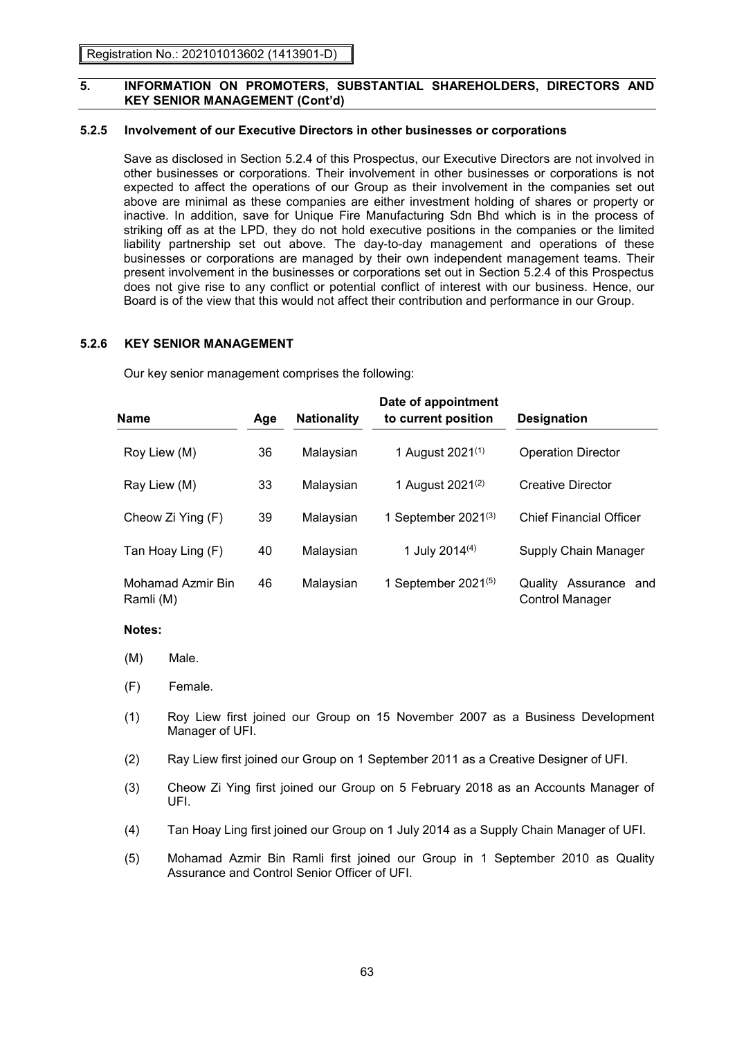# **5.2.5 Involvement of our Executive Directors in other businesses or corporations**

Save as disclosed in Section 5.2.4 of this Prospectus, our Executive Directors are not involved in other businesses or corporations. Their involvement in other businesses or corporations is not expected to affect the operations of our Group as their involvement in the companies set out above are minimal as these companies are either investment holding of shares or property or inactive. In addition, save for Unique Fire Manufacturing Sdn Bhd which is in the process of striking off as at the LPD, they do not hold executive positions in the companies or the limited liability partnership set out above. The day-to-day management and operations of these businesses or corporations are managed by their own independent management teams. Their present involvement in the businesses or corporations set out in Section 5.2.4 of this Prospectus does not give rise to any conflict or potential conflict of interest with our business. Hence, our Board is of the view that this would not affect their contribution and performance in our Group.

### **5.2.6 KEY SENIOR MANAGEMENT**

Our key senior management comprises the following:

| Name                           | <b>Nationality</b><br>Age |           | Date of appointment<br>to current position | <b>Designation</b>                              |  |  |
|--------------------------------|---------------------------|-----------|--------------------------------------------|-------------------------------------------------|--|--|
| Roy Liew (M)                   | 36                        | Malaysian | 1 August 2021 <sup>(1)</sup>               | <b>Operation Director</b>                       |  |  |
| Ray Liew (M)                   | 33                        | Malaysian | 1 August 2021 <sup>(2)</sup>               | <b>Creative Director</b>                        |  |  |
| Cheow Zi Ying (F)              | 39                        | Malaysian | 1 September $2021^{(3)}$                   | <b>Chief Financial Officer</b>                  |  |  |
| Tan Hoay Ling (F)              | 40                        | Malaysian | 1 July 2014 <sup>(4)</sup>                 | Supply Chain Manager                            |  |  |
| Mohamad Azmir Bin<br>Ramli (M) | 46                        | Malaysian | 1 September 2021 $(5)$                     | Quality Assurance and<br><b>Control Manager</b> |  |  |

#### **Notes:**

- (M) Male.
- (F) Female.
- (1) Roy Liew first joined our Group on 15 November 2007 as a Business Development Manager of UFI.
- (2) Ray Liew first joined our Group on 1 September 2011 as a Creative Designer of UFI.
- (3) Cheow Zi Ying first joined our Group on 5 February 2018 as an Accounts Manager of UFI.
- (4) Tan Hoay Ling first joined our Group on 1 July 2014 as a Supply Chain Manager of UFI.
- (5) Mohamad Azmir Bin Ramli first joined our Group in 1 September 2010 as Quality Assurance and Control Senior Officer of UFI.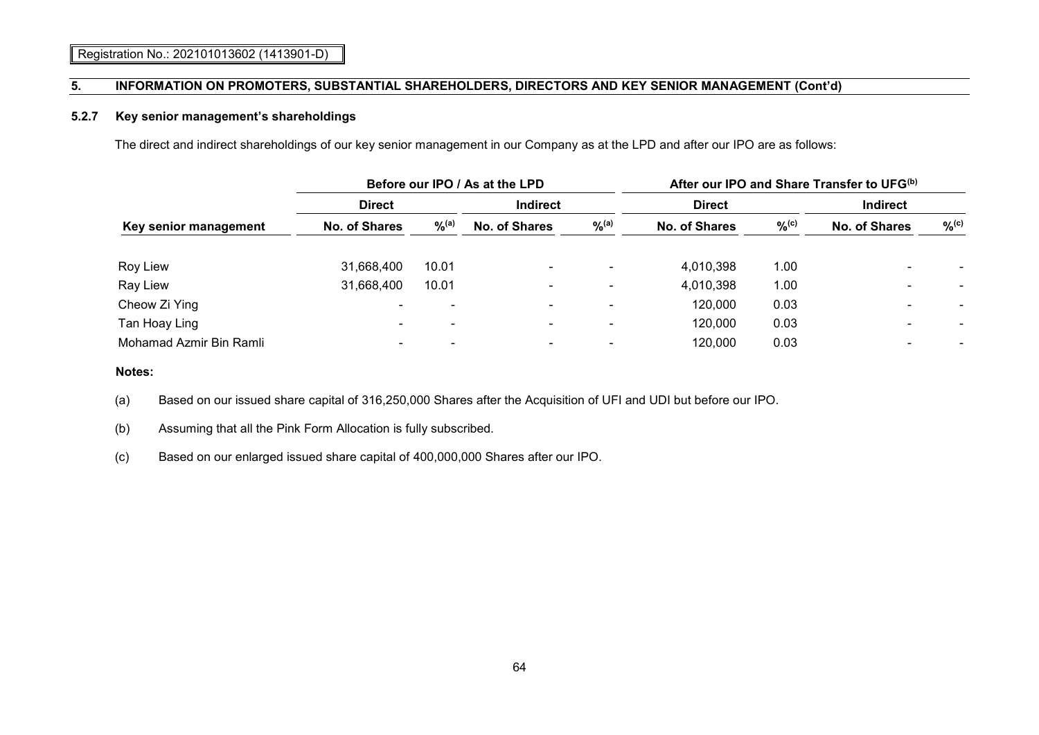## **5.2.7 Key senior management's shareholdings**

The direct and indirect shareholdings of our key senior management in our Company as at the LPD and after our IPO are as follows:

|                         |                      |                          | Before our IPO / As at the LPD | After our IPO and Share Transfer to UFG <sup>(b)</sup> |               |          |                      |          |
|-------------------------|----------------------|--------------------------|--------------------------------|--------------------------------------------------------|---------------|----------|----------------------|----------|
|                         | <b>Direct</b>        |                          | <b>Indirect</b>                |                                                        | <b>Direct</b> |          | <b>Indirect</b>      |          |
| Key senior management   | <b>No. of Shares</b> | $%$ (a)                  | <b>No. of Shares</b>           | $\%$ <sup>(a)</sup>                                    | No. of Shares | $\%$ (c) | <b>No. of Shares</b> | $\%$ (c) |
| <b>Roy Liew</b>         | 31,668,400           | 10.01                    | $\sim$                         | $\blacksquare$                                         | 4,010,398     | 1.00     |                      |          |
| Ray Liew                | 31,668,400           | 10.01                    | $\overline{\phantom{0}}$       | $\blacksquare$                                         | 4,010,398     | 1.00     |                      |          |
| Cheow Zi Ying           |                      |                          | $\sim$                         | $\blacksquare$                                         | 120,000       | 0.03     |                      |          |
| Tan Hoay Ling           |                      | $\overline{\phantom{0}}$ | $\sim$                         | $\blacksquare$                                         | 120,000       | 0.03     |                      |          |
| Mohamad Azmir Bin Ramli |                      | -                        | ۰.                             | $\blacksquare$                                         | 120,000       | 0.03     |                      |          |

# **Notes:**

(a) Based on our issued share capital of 316,250,000 Shares after the Acquisition of UFI and UDI but before our IPO.

(b) Assuming that all the Pink Form Allocation is fully subscribed.

(c) Based on our enlarged issued share capital of 400,000,000 Shares after our IPO.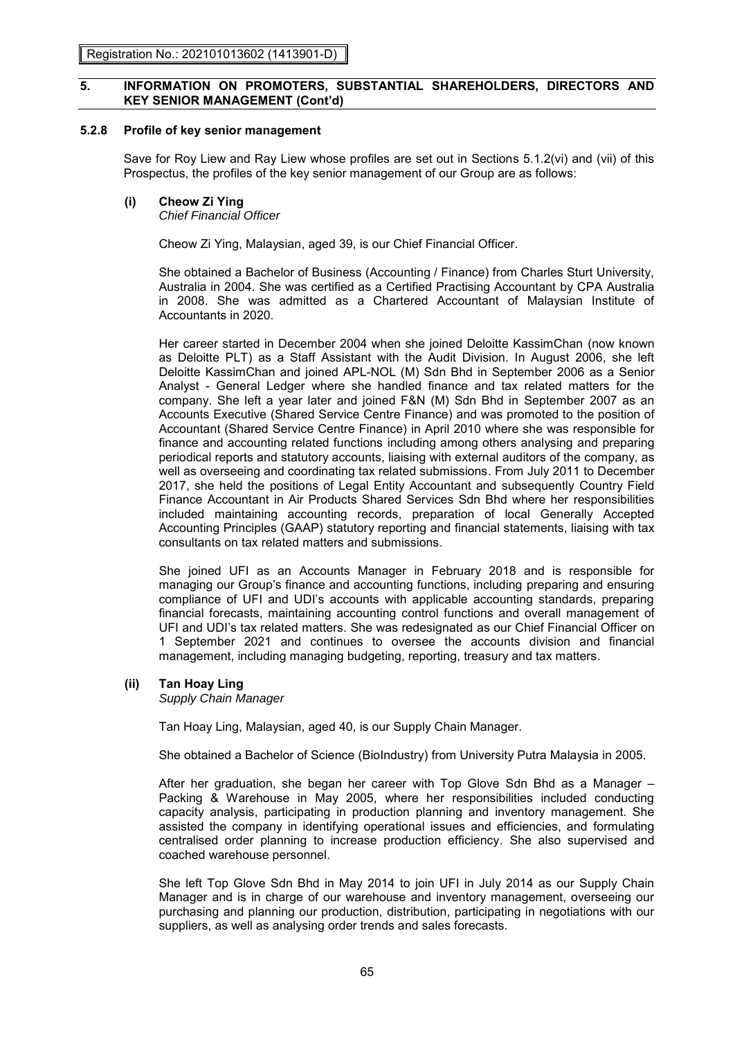# **5.2.8 Profile of key senior management**

Save for Roy Liew and Ray Liew whose profiles are set out in Sections 5.1.2(vi) and (vii) of this Prospectus, the profiles of the key senior management of our Group are as follows:

# **(i) Cheow Zi Ying**

*Chief Financial Officer*

Cheow Zi Ying, Malaysian, aged 39, is our Chief Financial Officer.

She obtained a Bachelor of Business (Accounting / Finance) from Charles Sturt University, Australia in 2004. She was certified as a Certified Practising Accountant by CPA Australia in 2008. She was admitted as a Chartered Accountant of Malaysian Institute of Accountants in 2020.

Her career started in December 2004 when she joined Deloitte KassimChan (now known as Deloitte PLT) as a Staff Assistant with the Audit Division. In August 2006, she left Deloitte KassimChan and joined APL-NOL (M) Sdn Bhd in September 2006 as a Senior Analyst - General Ledger where she handled finance and tax related matters for the company. She left a year later and joined F&N (M) Sdn Bhd in September 2007 as an Accounts Executive (Shared Service Centre Finance) and was promoted to the position of Accountant (Shared Service Centre Finance) in April 2010 where she was responsible for finance and accounting related functions including among others analysing and preparing periodical reports and statutory accounts, liaising with external auditors of the company, as well as overseeing and coordinating tax related submissions. From July 2011 to December 2017, she held the positions of Legal Entity Accountant and subsequently Country Field Finance Accountant in Air Products Shared Services Sdn Bhd where her responsibilities included maintaining accounting records, preparation of local Generally Accepted Accounting Principles (GAAP) statutory reporting and financial statements, liaising with tax consultants on tax related matters and submissions.

She joined UFI as an Accounts Manager in February 2018 and is responsible for managing our Group's finance and accounting functions, including preparing and ensuring compliance of UFI and UDI's accounts with applicable accounting standards, preparing financial forecasts, maintaining accounting control functions and overall management of UFI and UDI's tax related matters. She was redesignated as our Chief Financial Officer on 1 September 2021 and continues to oversee the accounts division and financial management, including managing budgeting, reporting, treasury and tax matters.

# **(ii) Tan Hoay Ling**

*Supply Chain Manager*

Tan Hoay Ling, Malaysian, aged 40, is our Supply Chain Manager.

She obtained a Bachelor of Science (BioIndustry) from University Putra Malaysia in 2005.

After her graduation, she began her career with Top Glove Sdn Bhd as a Manager – Packing & Warehouse in May 2005, where her responsibilities included conducting capacity analysis, participating in production planning and inventory management. She assisted the company in identifying operational issues and efficiencies, and formulating centralised order planning to increase production efficiency. She also supervised and coached warehouse personnel.

She left Top Glove Sdn Bhd in May 2014 to join UFI in July 2014 as our Supply Chain Manager and is in charge of our warehouse and inventory management, overseeing our purchasing and planning our production, distribution, participating in negotiations with our suppliers, as well as analysing order trends and sales forecasts.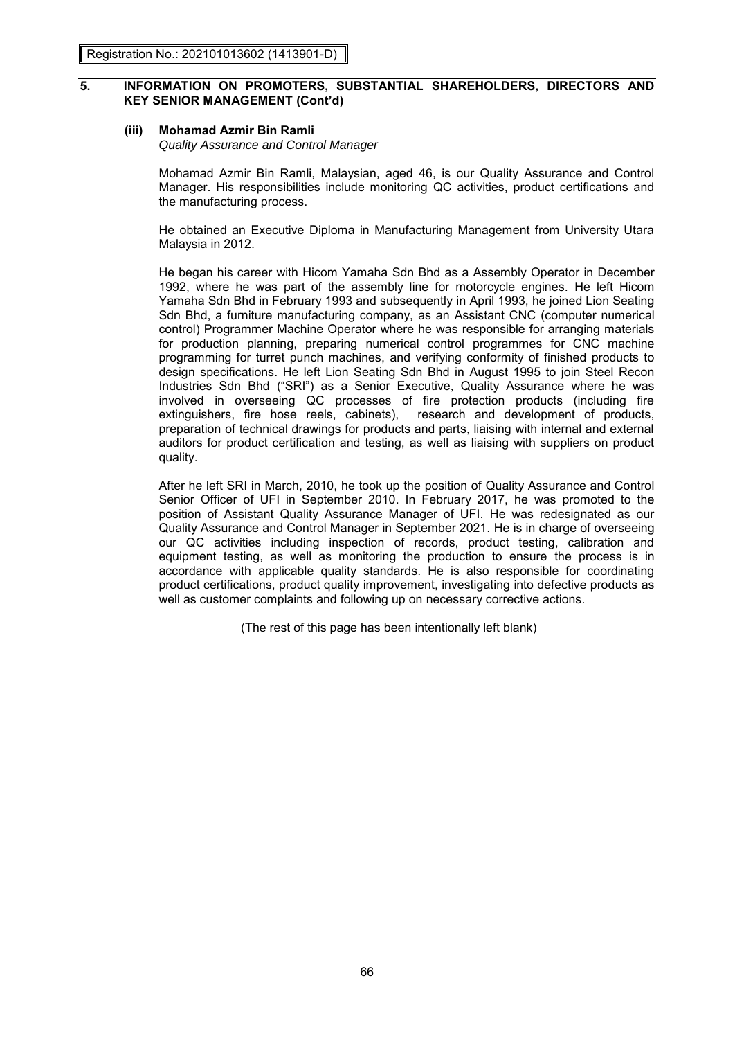### **(iii) Mohamad Azmir Bin Ramli**

*Quality Assurance and Control Manager*

Mohamad Azmir Bin Ramli, Malaysian, aged 46, is our Quality Assurance and Control Manager. His responsibilities include monitoring QC activities, product certifications and the manufacturing process.

He obtained an Executive Diploma in Manufacturing Management from University Utara Malaysia in 2012.

He began his career with Hicom Yamaha Sdn Bhd as a Assembly Operator in December 1992, where he was part of the assembly line for motorcycle engines. He left Hicom Yamaha Sdn Bhd in February 1993 and subsequently in April 1993, he joined Lion Seating Sdn Bhd, a furniture manufacturing company, as an Assistant CNC (computer numerical control) Programmer Machine Operator where he was responsible for arranging materials for production planning, preparing numerical control programmes for CNC machine programming for turret punch machines, and verifying conformity of finished products to design specifications. He left Lion Seating Sdn Bhd in August 1995 to join Steel Recon Industries Sdn Bhd ("SRI") as a Senior Executive, Quality Assurance where he was involved in overseeing QC processes of fire protection products (including fire extinguishers, fire hose reels, cabinets), research and development of products, preparation of technical drawings for products and parts, liaising with internal and external auditors for product certification and testing, as well as liaising with suppliers on product quality.

After he left SRI in March, 2010, he took up the position of Quality Assurance and Control Senior Officer of UFI in September 2010. In February 2017, he was promoted to the position of Assistant Quality Assurance Manager of UFI. He was redesignated as our Quality Assurance and Control Manager in September 2021. He is in charge of overseeing our QC activities including inspection of records, product testing, calibration and equipment testing, as well as monitoring the production to ensure the process is in accordance with applicable quality standards. He is also responsible for coordinating product certifications, product quality improvement, investigating into defective products as well as customer complaints and following up on necessary corrective actions.

(The rest of this page has been intentionally left blank)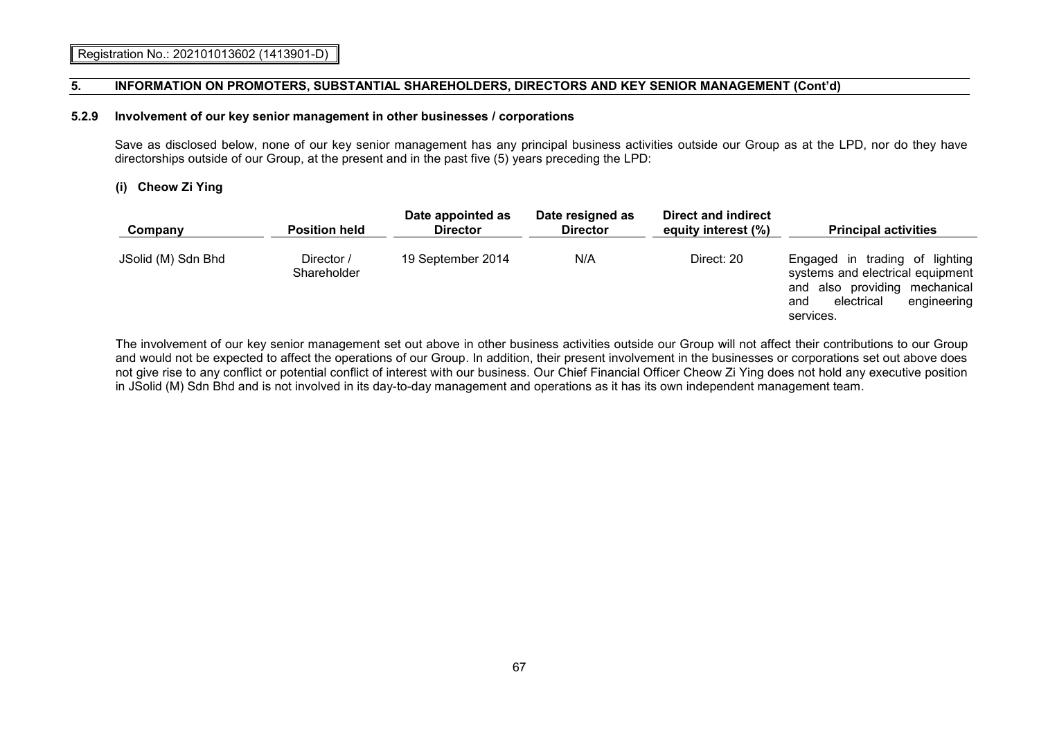#### **5.2.9 Involvement of our key senior management in other businesses / corporations**

Save as disclosed below, none of our key senior management has any principal business activities outside our Group as at the LPD, nor do they have directorships outside of our Group, at the present and in the past five (5) years preceding the LPD:

# **(i) Cheow Zi Ying**

| Company            | <b>Position held</b>      | Date appointed as<br><b>Director</b> | Date resigned as<br><b>Director</b> | Direct and indirect<br>equity interest (%) | <b>Principal activities</b>                                                                                                                          |
|--------------------|---------------------------|--------------------------------------|-------------------------------------|--------------------------------------------|------------------------------------------------------------------------------------------------------------------------------------------------------|
| JSolid (M) Sdn Bhd | Director /<br>Shareholder | 19 September 2014                    | N/A                                 | Direct: 20                                 | Engaged in trading of lighting<br>systems and electrical equipment<br>and also providing mechanical<br>engineering<br>electrical<br>and<br>services. |

The involvement of our key senior management set out above in other business activities outside our Group will not affect their contributions to our Group and would not be expected to affect the operations of our Group. In addition, their present involvement in the businesses or corporations set out above does not give rise to any conflict or potential conflict of interest with our business. Our Chief Financial Officer Cheow Zi Ying does not hold any executive position in JSolid (M) Sdn Bhd and is not involved in its day-to-day management and operations as it has its own independent management team.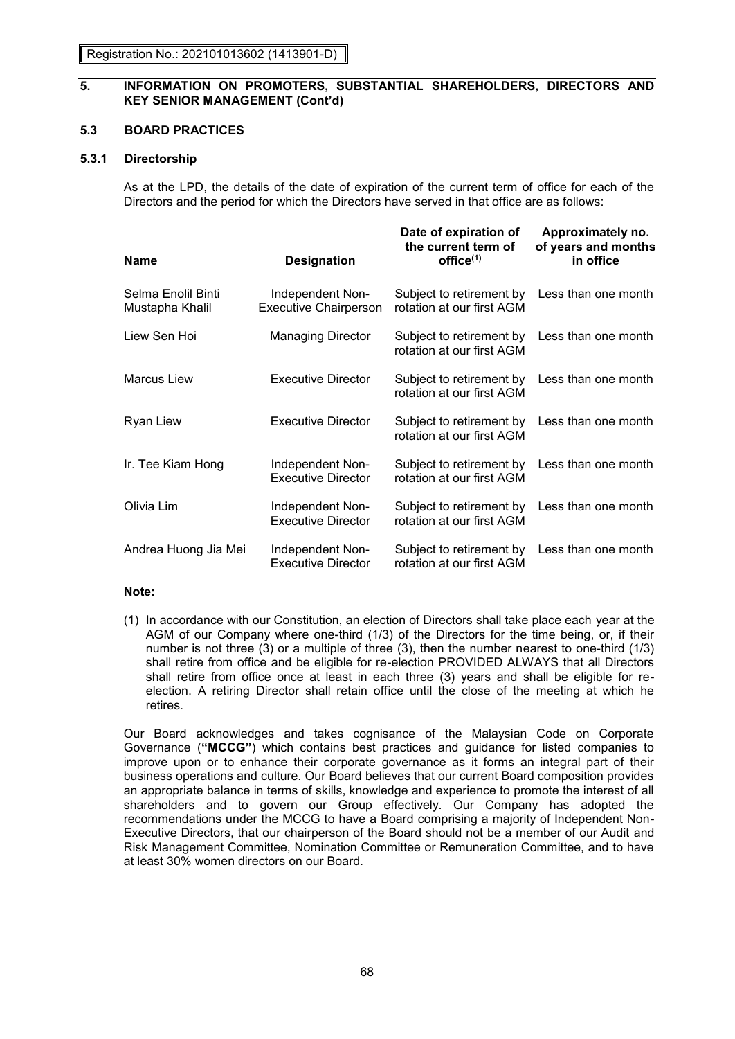# **5.3 BOARD PRACTICES**

# **5.3.1 Directorship**

As at the LPD, the details of the date of expiration of the current term of office for each of the Directors and the period for which the Directors have served in that office are as follows:

| <b>Name</b>                           | <b>Designation</b>                               | Date of expiration of<br>the current term of<br>office <sup>(1)</sup> | Approximately no.<br>of years and months<br>in office |
|---------------------------------------|--------------------------------------------------|-----------------------------------------------------------------------|-------------------------------------------------------|
| Selma Enolil Binti<br>Mustapha Khalil | Independent Non-<br><b>Executive Chairperson</b> | Subject to retirement by<br>rotation at our first AGM                 | Less than one month                                   |
| Liew Sen Hoi                          | <b>Managing Director</b>                         | Subject to retirement by<br>rotation at our first AGM                 | Less than one month                                   |
| <b>Marcus Liew</b>                    | <b>Executive Director</b>                        | Subject to retirement by<br>rotation at our first AGM                 | Less than one month                                   |
| <b>Ryan Liew</b>                      | <b>Executive Director</b>                        | Subject to retirement by<br>rotation at our first AGM                 | Less than one month                                   |
| Ir. Tee Kiam Hong                     | Independent Non-<br>Executive Director           | Subject to retirement by<br>rotation at our first AGM                 | Less than one month                                   |
| Olivia Lim                            | Independent Non-<br><b>Executive Director</b>    | Subject to retirement by<br>rotation at our first AGM                 | Less than one month                                   |
| Andrea Huong Jia Mei                  | Independent Non-<br><b>Executive Director</b>    | Subject to retirement by<br>rotation at our first AGM                 | Less than one month                                   |

### **Note:**

(1) In accordance with our Constitution, an election of Directors shall take place each year at the AGM of our Company where one-third (1/3) of the Directors for the time being, or, if their number is not three (3) or a multiple of three (3), then the number nearest to one-third (1/3) shall retire from office and be eligible for re-election PROVIDED ALWAYS that all Directors shall retire from office once at least in each three (3) years and shall be eligible for reelection. A retiring Director shall retain office until the close of the meeting at which he retires.

Our Board acknowledges and takes cognisance of the Malaysian Code on Corporate Governance (**"MCCG"**) which contains best practices and guidance for listed companies to improve upon or to enhance their corporate governance as it forms an integral part of their business operations and culture. Our Board believes that our current Board composition provides an appropriate balance in terms of skills, knowledge and experience to promote the interest of all shareholders and to govern our Group effectively. Our Company has adopted the recommendations under the MCCG to have a Board comprising a majority of Independent Non-Executive Directors, that our chairperson of the Board should not be a member of our Audit and Risk Management Committee, Nomination Committee or Remuneration Committee, and to have at least 30% women directors on our Board.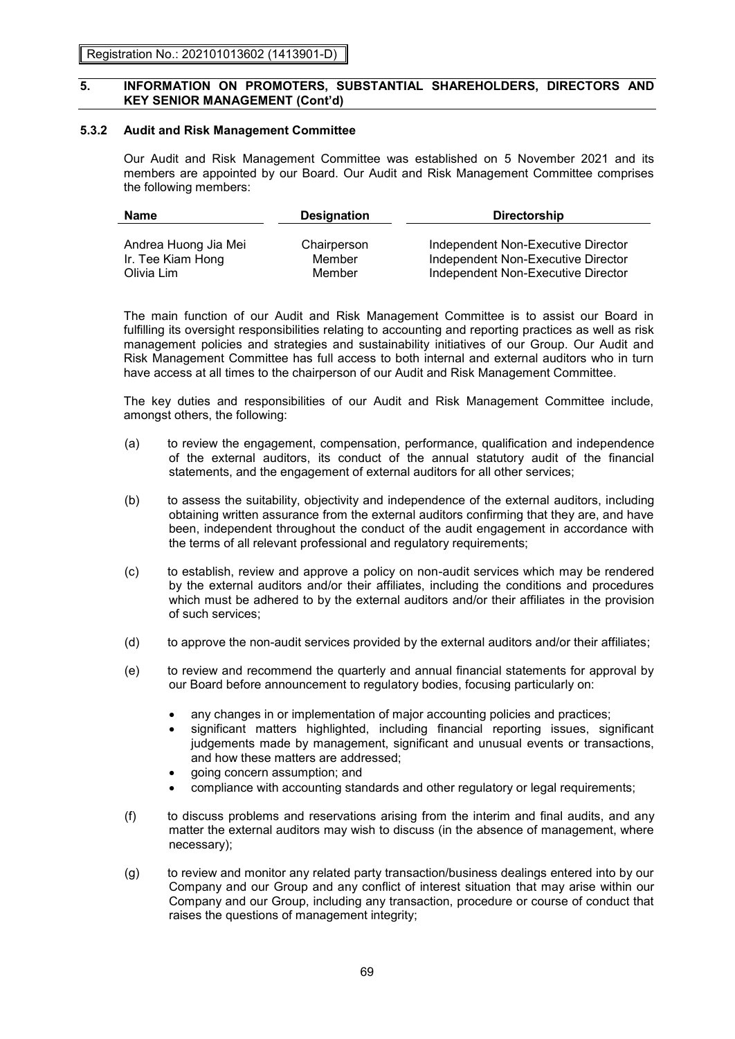### **5.3.2 Audit and Risk Management Committee**

Our Audit and Risk Management Committee was established on 5 November 2021 and its members are appointed by our Board. Our Audit and Risk Management Committee comprises the following members:

| <b>Name</b>          | <b>Designation</b> | <b>Directorship</b>                |  |  |
|----------------------|--------------------|------------------------------------|--|--|
|                      |                    |                                    |  |  |
| Andrea Huong Jia Mei | Chairperson        | Independent Non-Executive Director |  |  |
| Ir. Tee Kiam Hong    | Member             | Independent Non-Executive Director |  |  |
| Olivia Lim           | Member             | Independent Non-Executive Director |  |  |

The main function of our Audit and Risk Management Committee is to assist our Board in fulfilling its oversight responsibilities relating to accounting and reporting practices as well as risk management policies and strategies and sustainability initiatives of our Group. Our Audit and Risk Management Committee has full access to both internal and external auditors who in turn have access at all times to the chairperson of our Audit and Risk Management Committee.

The key duties and responsibilities of our Audit and Risk Management Committee include, amongst others, the following:

- (a) to review the engagement, compensation, performance, qualification and independence of the external auditors, its conduct of the annual statutory audit of the financial statements, and the engagement of external auditors for all other services;
- (b) to assess the suitability, objectivity and independence of the external auditors, including obtaining written assurance from the external auditors confirming that they are, and have been, independent throughout the conduct of the audit engagement in accordance with the terms of all relevant professional and regulatory requirements;
- (c) to establish, review and approve a policy on non-audit services which may be rendered by the external auditors and/or their affiliates, including the conditions and procedures which must be adhered to by the external auditors and/or their affiliates in the provision of such services;
- (d) to approve the non-audit services provided by the external auditors and/or their affiliates;
- (e) to review and recommend the quarterly and annual financial statements for approval by our Board before announcement to regulatory bodies, focusing particularly on:
	- any changes in or implementation of major accounting policies and practices;
	- significant matters highlighted, including financial reporting issues, significant judgements made by management, significant and unusual events or transactions, and how these matters are addressed;
	- going concern assumption; and
	- compliance with accounting standards and other regulatory or legal requirements;
- (f) to discuss problems and reservations arising from the interim and final audits, and any matter the external auditors may wish to discuss (in the absence of management, where necessary);
- (g) to review and monitor any related party transaction/business dealings entered into by our Company and our Group and any conflict of interest situation that may arise within our Company and our Group, including any transaction, procedure or course of conduct that raises the questions of management integrity;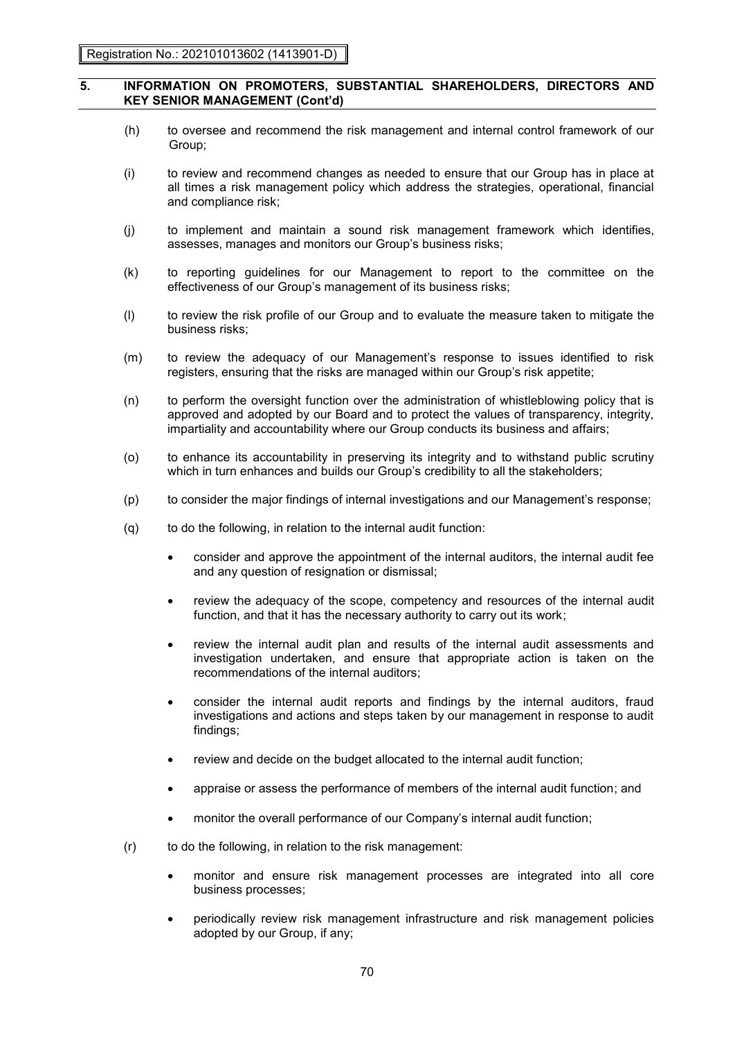- (h) to oversee and recommend the risk management and internal control framework of our Group;
- (i) to review and recommend changes as needed to ensure that our Group has in place at all times a risk management policy which address the strategies, operational, financial and compliance risk;
- (j) to implement and maintain a sound risk management framework which identifies, assesses, manages and monitors our Group's business risks;
- (k) to reporting guidelines for our Management to report to the committee on the effectiveness of our Group's management of its business risks;
- (l) to review the risk profile of our Group and to evaluate the measure taken to mitigate the business risks;
- (m) to review the adequacy of our Management's response to issues identified to risk registers, ensuring that the risks are managed within our Group's risk appetite;
- (n) to perform the oversight function over the administration of whistleblowing policy that is approved and adopted by our Board and to protect the values of transparency, integrity, impartiality and accountability where our Group conducts its business and affairs;
- (o) to enhance its accountability in preserving its integrity and to withstand public scrutiny which in turn enhances and builds our Group's credibility to all the stakeholders;
- (p) to consider the major findings of internal investigations and our Management's response;
- (q) to do the following, in relation to the internal audit function:
	- consider and approve the appointment of the internal auditors, the internal audit fee and any question of resignation or dismissal;
	- review the adequacy of the scope, competency and resources of the internal audit function, and that it has the necessary authority to carry out its work;
	- review the internal audit plan and results of the internal audit assessments and investigation undertaken, and ensure that appropriate action is taken on the recommendations of the internal auditors;
	- consider the internal audit reports and findings by the internal auditors, fraud investigations and actions and steps taken by our management in response to audit findings;
	- review and decide on the budget allocated to the internal audit function;
	- appraise or assess the performance of members of the internal audit function; and
	- monitor the overall performance of our Company's internal audit function;
- (r) to do the following, in relation to the risk management:
	- monitor and ensure risk management processes are integrated into all core business processes;
	- periodically review risk management infrastructure and risk management policies adopted by our Group, if any;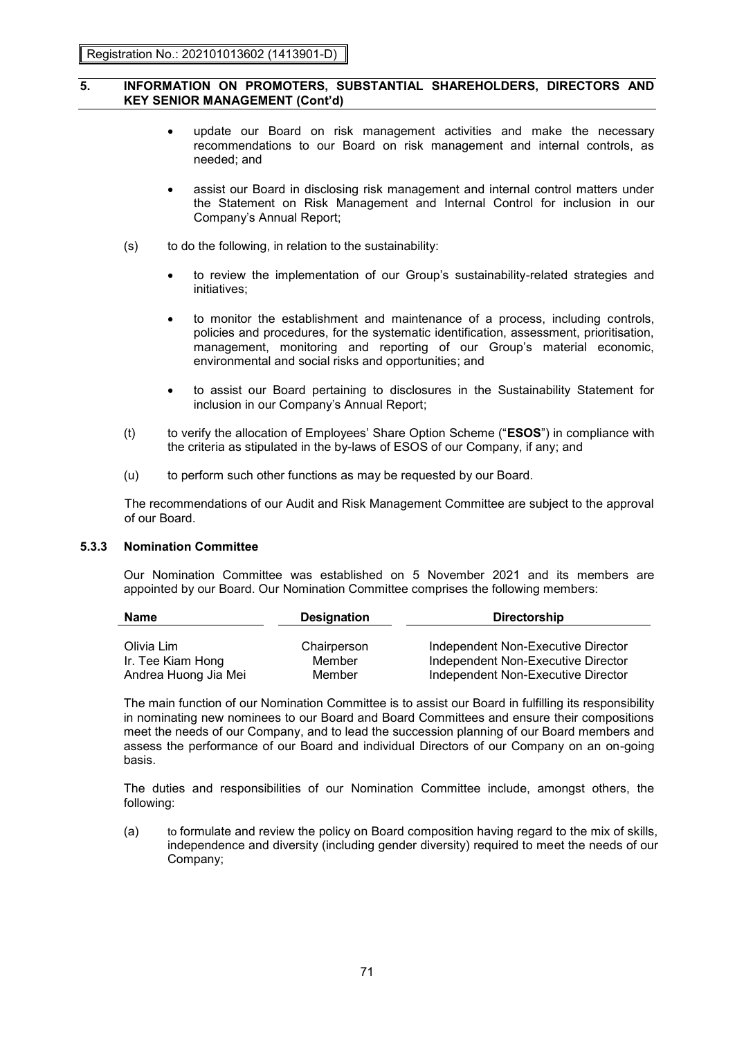- update our Board on risk management activities and make the necessary recommendations to our Board on risk management and internal controls, as needed; and
- assist our Board in disclosing risk management and internal control matters under the Statement on Risk Management and Internal Control for inclusion in our Company's Annual Report;
- (s) to do the following, in relation to the sustainability:
	- to review the implementation of our Group's sustainability-related strategies and initiatives;
	- to monitor the establishment and maintenance of a process, including controls, policies and procedures, for the systematic identification, assessment, prioritisation, management, monitoring and reporting of our Group's material economic, environmental and social risks and opportunities; and
	- to assist our Board pertaining to disclosures in the Sustainability Statement for inclusion in our Company's Annual Report;
- (t) to verify the allocation of Employees' Share Option Scheme ("**ESOS**") in compliance with the criteria as stipulated in the by-laws of ESOS of our Company, if any; and
- (u) to perform such other functions as may be requested by our Board.

The recommendations of our Audit and Risk Management Committee are subject to the approval of our Board.

# **5.3.3 Nomination Committee**

Our Nomination Committee was established on 5 November 2021 and its members are appointed by our Board. Our Nomination Committee comprises the following members:

| <b>Name</b>          | <b>Designation</b> | <b>Directorship</b>                |  |  |
|----------------------|--------------------|------------------------------------|--|--|
|                      |                    |                                    |  |  |
| Olivia Lim           | Chairperson        | Independent Non-Executive Director |  |  |
| Ir. Tee Kiam Hong    | Member             | Independent Non-Executive Director |  |  |
| Andrea Huong Jia Mei | Member             | Independent Non-Executive Director |  |  |

The main function of our Nomination Committee is to assist our Board in fulfilling its responsibility in nominating new nominees to our Board and Board Committees and ensure their compositions meet the needs of our Company, and to lead the succession planning of our Board members and assess the performance of our Board and individual Directors of our Company on an on-going basis.

The duties and responsibilities of our Nomination Committee include, amongst others, the following:

(a) to formulate and review the policy on Board composition having regard to the mix of skills, independence and diversity (including gender diversity) required to meet the needs of our Company;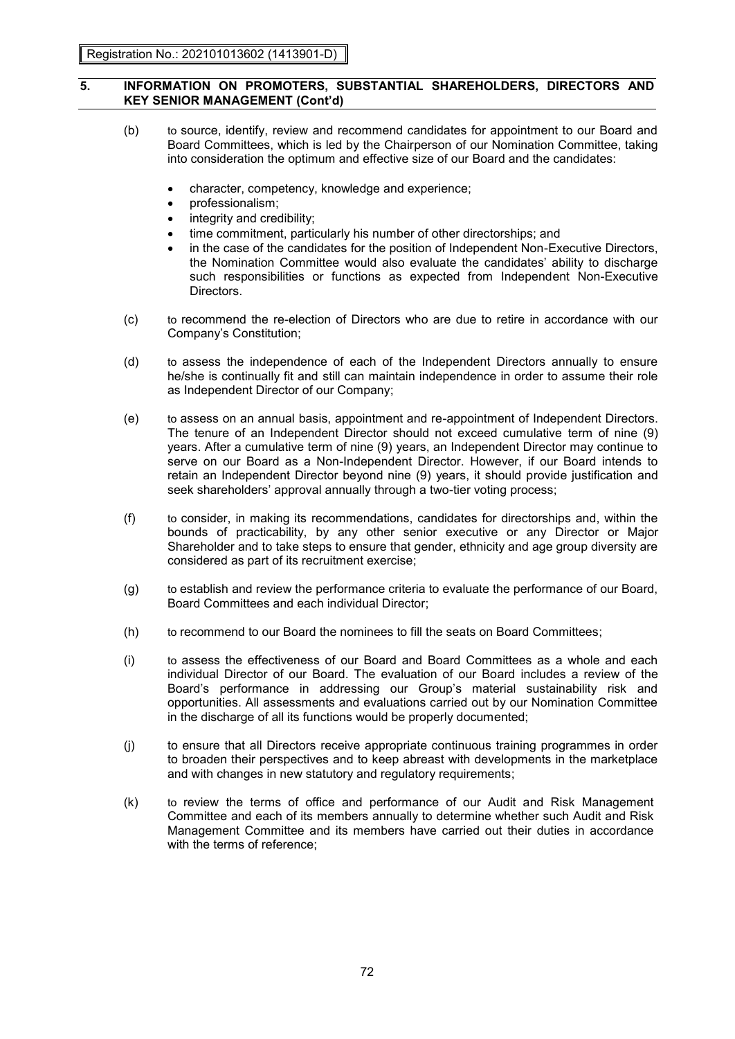- (b) to source, identify, review and recommend candidates for appointment to our Board and Board Committees, which is led by the Chairperson of our Nomination Committee, taking into consideration the optimum and effective size of our Board and the candidates:
	- character, competency, knowledge and experience;
	- professionalism;
	- integrity and credibility;
	- time commitment, particularly his number of other directorships; and
	- in the case of the candidates for the position of Independent Non-Executive Directors, the Nomination Committee would also evaluate the candidates' ability to discharge such responsibilities or functions as expected from Independent Non-Executive Directors.
- (c) to recommend the re-election of Directors who are due to retire in accordance with our Company's Constitution;
- (d) to assess the independence of each of the Independent Directors annually to ensure he/she is continually fit and still can maintain independence in order to assume their role as Independent Director of our Company;
- (e) to assess on an annual basis, appointment and re-appointment of Independent Directors. The tenure of an Independent Director should not exceed cumulative term of nine (9) years. After a cumulative term of nine (9) years, an Independent Director may continue to serve on our Board as a Non-Independent Director. However, if our Board intends to retain an Independent Director beyond nine (9) years, it should provide justification and seek shareholders' approval annually through a two-tier voting process;
- (f) to consider, in making its recommendations, candidates for directorships and, within the bounds of practicability, by any other senior executive or any Director or Major Shareholder and to take steps to ensure that gender, ethnicity and age group diversity are considered as part of its recruitment exercise;
- (g) to establish and review the performance criteria to evaluate the performance of our Board, Board Committees and each individual Director;
- (h) to recommend to our Board the nominees to fill the seats on Board Committees;
- (i) to assess the effectiveness of our Board and Board Committees as a whole and each individual Director of our Board. The evaluation of our Board includes a review of the Board's performance in addressing our Group's material sustainability risk and opportunities. All assessments and evaluations carried out by our Nomination Committee in the discharge of all its functions would be properly documented;
- (j) to ensure that all Directors receive appropriate continuous training programmes in order to broaden their perspectives and to keep abreast with developments in the marketplace and with changes in new statutory and regulatory requirements;
- (k) to review the terms of office and performance of our Audit and Risk Management Committee and each of its members annually to determine whether such Audit and Risk Management Committee and its members have carried out their duties in accordance with the terms of reference;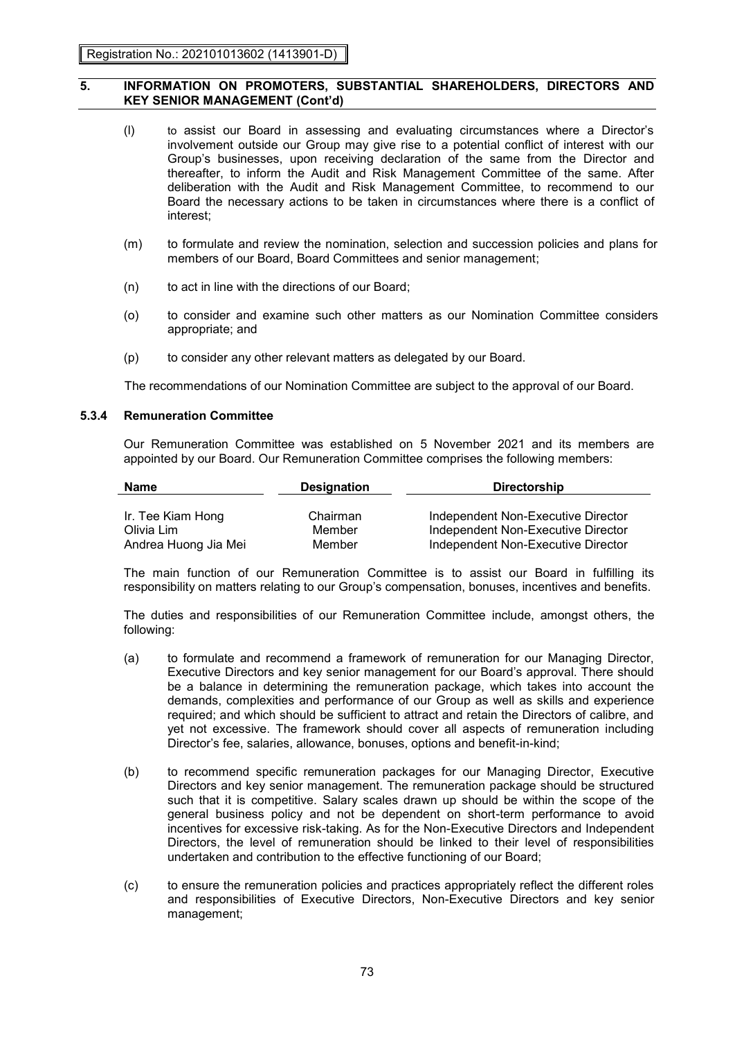- (l) to assist our Board in assessing and evaluating circumstances where a Director's involvement outside our Group may give rise to a potential conflict of interest with our Group's businesses, upon receiving declaration of the same from the Director and thereafter, to inform the Audit and Risk Management Committee of the same. After deliberation with the Audit and Risk Management Committee, to recommend to our Board the necessary actions to be taken in circumstances where there is a conflict of interest;
- (m) to formulate and review the nomination, selection and succession policies and plans for members of our Board, Board Committees and senior management;
- (n) to act in line with the directions of our Board;
- (o) to consider and examine such other matters as our Nomination Committee considers appropriate; and
- (p) to consider any other relevant matters as delegated by our Board.

The recommendations of our Nomination Committee are subject to the approval of our Board.

#### **5.3.4 Remuneration Committee**

Our Remuneration Committee was established on 5 November 2021 and its members are appointed by our Board. Our Remuneration Committee comprises the following members:

| Name                 | <b>Designation</b> | <b>Directorship</b>                |
|----------------------|--------------------|------------------------------------|
|                      |                    |                                    |
| Ir. Tee Kiam Hong    | Chairman           | Independent Non-Executive Director |
| Olivia Lim           | Member             | Independent Non-Executive Director |
| Andrea Huong Jia Mei | Member             | Independent Non-Executive Director |

The main function of our Remuneration Committee is to assist our Board in fulfilling its responsibility on matters relating to our Group's compensation, bonuses, incentives and benefits.

The duties and responsibilities of our Remuneration Committee include, amongst others, the following:

- (a) to formulate and recommend a framework of remuneration for our Managing Director, Executive Directors and key senior management for our Board's approval. There should be a balance in determining the remuneration package, which takes into account the demands, complexities and performance of our Group as well as skills and experience required; and which should be sufficient to attract and retain the Directors of calibre, and yet not excessive. The framework should cover all aspects of remuneration including Director's fee, salaries, allowance, bonuses, options and benefit-in-kind;
- (b) to recommend specific remuneration packages for our Managing Director, Executive Directors and key senior management. The remuneration package should be structured such that it is competitive. Salary scales drawn up should be within the scope of the general business policy and not be dependent on short-term performance to avoid incentives for excessive risk-taking. As for the Non-Executive Directors and Independent Directors, the level of remuneration should be linked to their level of responsibilities undertaken and contribution to the effective functioning of our Board;
- (c) to ensure the remuneration policies and practices appropriately reflect the different roles and responsibilities of Executive Directors, Non-Executive Directors and key senior management;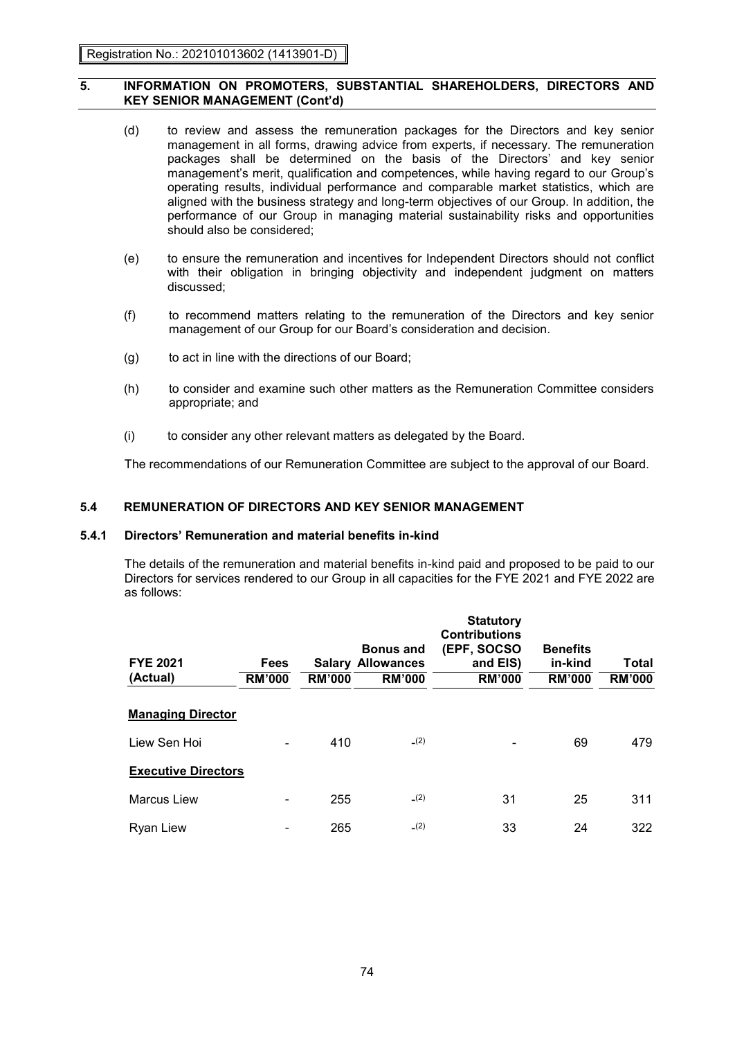- (d) to review and assess the remuneration packages for the Directors and key senior management in all forms, drawing advice from experts, if necessary. The remuneration packages shall be determined on the basis of the Directors' and key senior management's merit, qualification and competences, while having regard to our Group's operating results, individual performance and comparable market statistics, which are aligned with the business strategy and long-term objectives of our Group. In addition, the performance of our Group in managing material sustainability risks and opportunities should also be considered;
- (e) to ensure the remuneration and incentives for Independent Directors should not conflict with their obligation in bringing objectivity and independent judgment on matters discussed;
- (f) to recommend matters relating to the remuneration of the Directors and key senior management of our Group for our Board's consideration and decision.
- (g) to act in line with the directions of our Board;
- (h) to consider and examine such other matters as the Remuneration Committee considers appropriate; and
- (i) to consider any other relevant matters as delegated by the Board.

The recommendations of our Remuneration Committee are subject to the approval of our Board.

# **5.4 REMUNERATION OF DIRECTORS AND KEY SENIOR MANAGEMENT**

### **5.4.1 Directors' Remuneration and material benefits in-kind**

The details of the remuneration and material benefits in-kind paid and proposed to be paid to our Directors for services rendered to our Group in all capacities for the FYE 2021 and FYE 2022 are as follows:

| <b>FYE 2021</b><br>(Actual) | <b>Fees</b><br><b>RM'000</b> | <b>RM'000</b> | <b>Bonus and</b><br><b>Salary Allowances</b><br><b>RM'000</b> | <b>Statutory</b><br><b>Contributions</b><br>(EPF, SOCSO<br>and EIS)<br><b>RM'000</b> | <b>Benefits</b><br>in-kind<br><b>RM'000</b> | Total<br><b>RM'000</b> |
|-----------------------------|------------------------------|---------------|---------------------------------------------------------------|--------------------------------------------------------------------------------------|---------------------------------------------|------------------------|
| <b>Managing Director</b>    |                              |               |                                                               |                                                                                      |                                             |                        |
| Liew Sen Hoi                |                              | 410           | (2)                                                           |                                                                                      | 69                                          | 479                    |
| <b>Executive Directors</b>  |                              |               |                                                               |                                                                                      |                                             |                        |
| <b>Marcus Liew</b>          |                              | 255           | (2)                                                           | 31                                                                                   | 25                                          | 311                    |
| Ryan Liew                   |                              | 265           | (2)                                                           | 33                                                                                   | 24                                          | 322                    |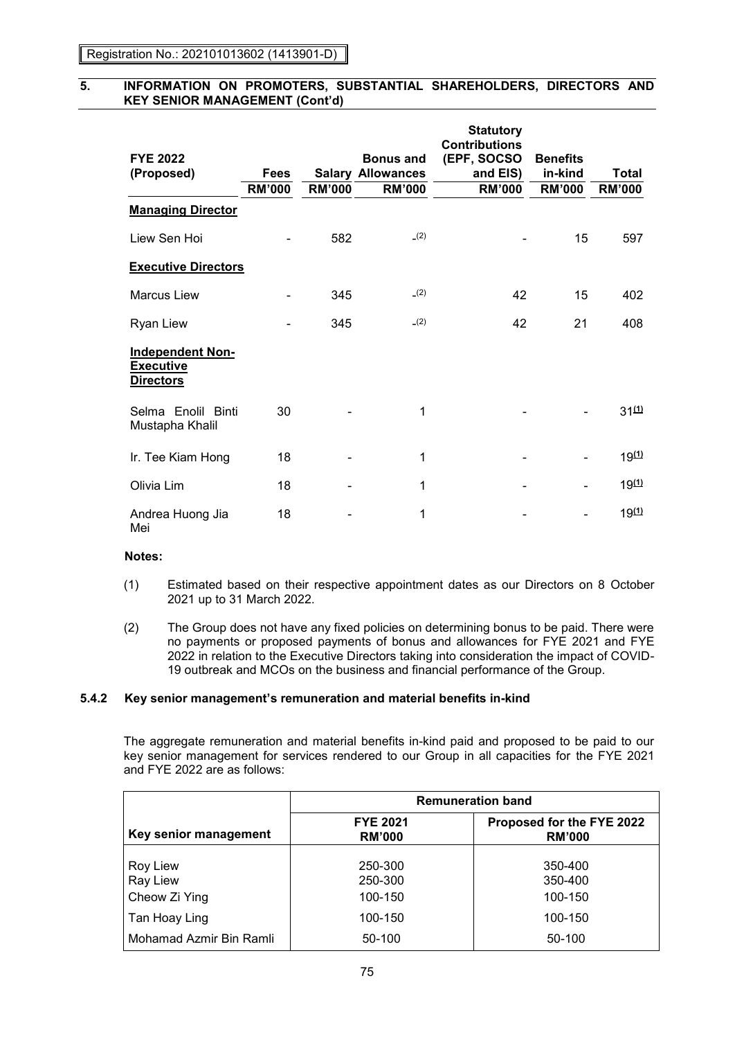| <b>FYE 2022</b><br>(Proposed)                                   | <b>Fees</b>   |               | <b>Bonus and</b><br><b>Salary Allowances</b> | <b>Statutory</b><br><b>Contributions</b><br>(EPF, SOCSO<br>and EIS) | <b>Benefits</b><br>in-kind | <b>Total</b>            |
|-----------------------------------------------------------------|---------------|---------------|----------------------------------------------|---------------------------------------------------------------------|----------------------------|-------------------------|
|                                                                 | <b>RM'000</b> | <b>RM'000</b> | <b>RM'000</b>                                | <b>RM'000</b>                                                       | <b>RM'000</b>              | <b>RM'000</b>           |
| <b>Managing Director</b>                                        |               |               |                                              |                                                                     |                            |                         |
| Liew Sen Hoi                                                    |               | 582           | (2)                                          |                                                                     | 15                         | 597                     |
| <b>Executive Directors</b>                                      |               |               |                                              |                                                                     |                            |                         |
| <b>Marcus Liew</b>                                              |               | 345           | (2)                                          | 42                                                                  | 15                         | 402                     |
| <b>Ryan Liew</b>                                                |               | 345           | (2)                                          | 42                                                                  | 21                         | 408                     |
| <b>Independent Non-</b><br><b>Executive</b><br><b>Directors</b> |               |               |                                              |                                                                     |                            |                         |
| Selma Enolil Binti<br>Mustapha Khalil                           | 30            |               | 1                                            |                                                                     |                            | $31^{(1)}$              |
| Ir. Tee Kiam Hong                                               | 18            |               | 1                                            |                                                                     |                            | $19^{(1)}$              |
| Olivia Lim                                                      | 18            |               | 1                                            |                                                                     |                            | $19^{(1)}$              |
| Andrea Huong Jia<br>Mei                                         | 18            |               | 1                                            |                                                                     |                            | <u>19<sup>(1)</sup></u> |

### **Notes:**

- (1) Estimated based on their respective appointment dates as our Directors on 8 October 2021 up to 31 March 2022.
- (2) The Group does not have any fixed policies on determining bonus to be paid. There were no payments or proposed payments of bonus and allowances for FYE 2021 and FYE 2022 in relation to the Executive Directors taking into consideration the impact of COVID-19 outbreak and MCOs on the business and financial performance of the Group.

# **5.4.2 Key senior management's remuneration and material benefits in-kind**

The aggregate remuneration and material benefits in-kind paid and proposed to be paid to our key senior management for services rendered to our Group in all capacities for the FYE 2021 and FYE 2022 are as follows:

|                                              | <b>Remuneration band</b>         |                                            |
|----------------------------------------------|----------------------------------|--------------------------------------------|
| Key senior management                        | <b>FYE 2021</b><br><b>RM'000</b> | Proposed for the FYE 2022<br><b>RM'000</b> |
| <b>Roy Liew</b><br>Ray Liew<br>Cheow Zi Ying | 250-300<br>250-300<br>100-150    | 350-400<br>350-400<br>100-150              |
| Tan Hoay Ling                                | 100-150                          | 100-150                                    |
| Mohamad Azmir Bin Ramli                      | 50-100                           | 50-100                                     |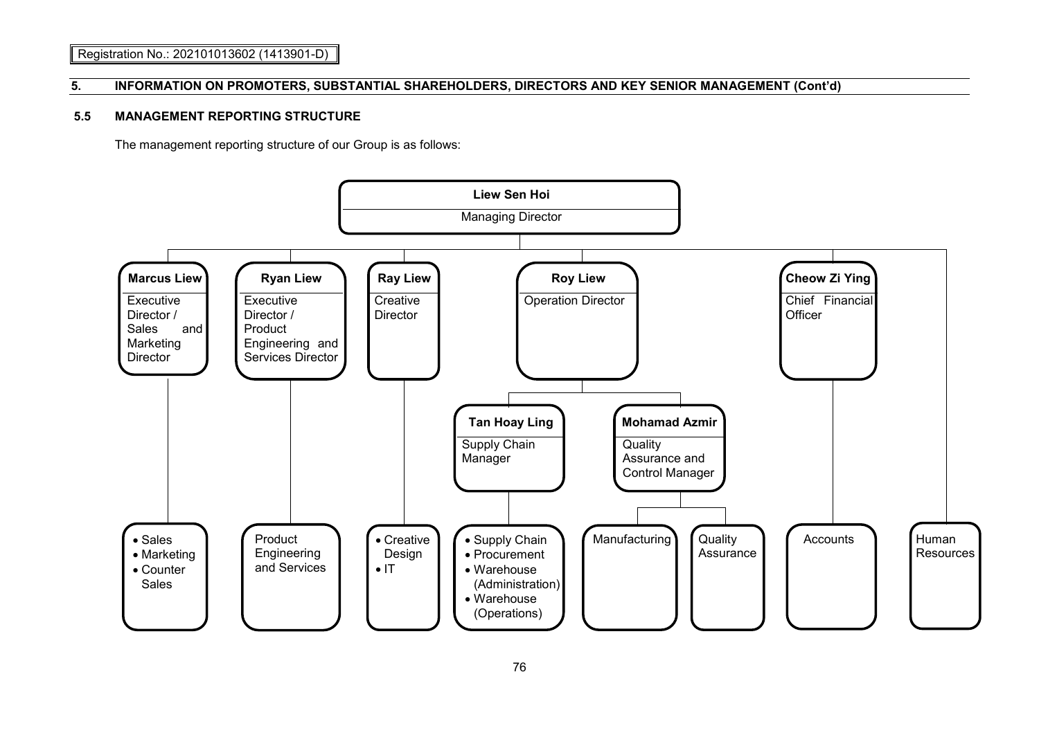# **5.5 MANAGEMENT REPORTING STRUCTURE**

The management reporting structure of our Group is as follows:

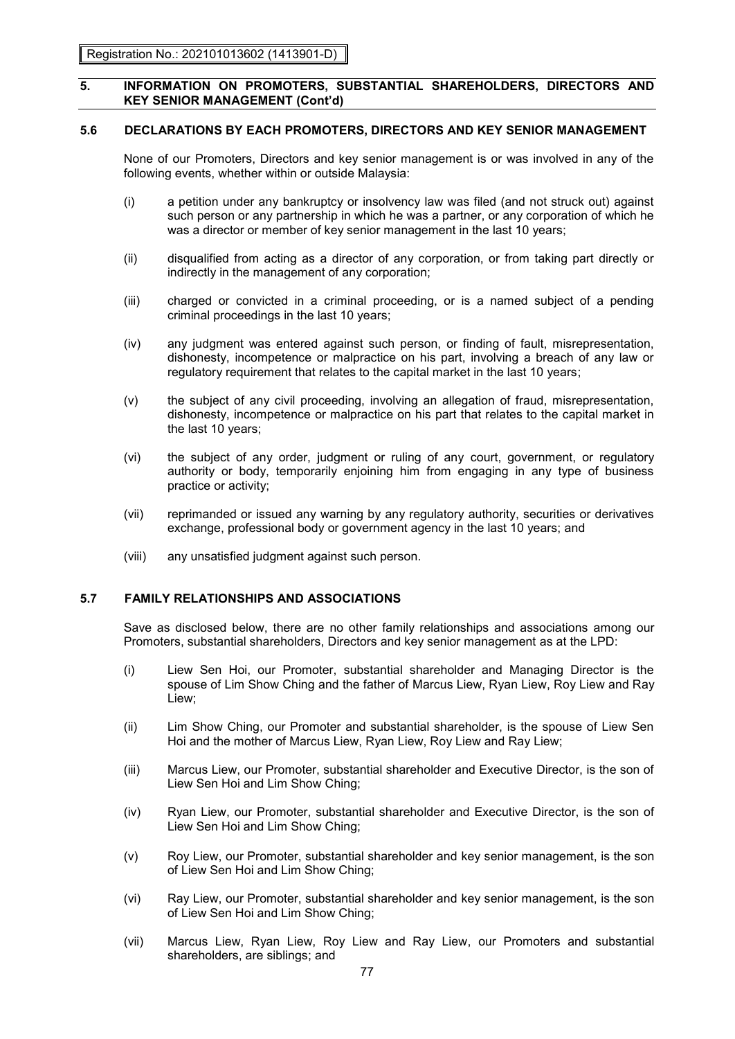# **5.6 DECLARATIONS BY EACH PROMOTERS, DIRECTORS AND KEY SENIOR MANAGEMENT**

None of our Promoters, Directors and key senior management is or was involved in any of the following events, whether within or outside Malaysia:

- (i) a petition under any bankruptcy or insolvency law was filed (and not struck out) against such person or any partnership in which he was a partner, or any corporation of which he was a director or member of key senior management in the last 10 years;
- (ii) disqualified from acting as a director of any corporation, or from taking part directly or indirectly in the management of any corporation;
- (iii) charged or convicted in a criminal proceeding, or is a named subject of a pending criminal proceedings in the last 10 years;
- (iv) any judgment was entered against such person, or finding of fault, misrepresentation, dishonesty, incompetence or malpractice on his part, involving a breach of any law or regulatory requirement that relates to the capital market in the last 10 years;
- (v) the subject of any civil proceeding, involving an allegation of fraud, misrepresentation, dishonesty, incompetence or malpractice on his part that relates to the capital market in the last 10 years;
- (vi) the subject of any order, judgment or ruling of any court, government, or regulatory authority or body, temporarily enjoining him from engaging in any type of business practice or activity;
- (vii) reprimanded or issued any warning by any regulatory authority, securities or derivatives exchange, professional body or government agency in the last 10 years; and
- (viii) any unsatisfied judgment against such person.

# **5.7 FAMILY RELATIONSHIPS AND ASSOCIATIONS**

Save as disclosed below, there are no other family relationships and associations among our Promoters, substantial shareholders, Directors and key senior management as at the LPD:

- (i) Liew Sen Hoi, our Promoter, substantial shareholder and Managing Director is the spouse of Lim Show Ching and the father of Marcus Liew, Ryan Liew, Roy Liew and Ray Liew;
- (ii) Lim Show Ching, our Promoter and substantial shareholder, is the spouse of Liew Sen Hoi and the mother of Marcus Liew, Ryan Liew, Roy Liew and Ray Liew;
- (iii) Marcus Liew, our Promoter, substantial shareholder and Executive Director, is the son of Liew Sen Hoi and Lim Show Ching;
- (iv) Ryan Liew, our Promoter, substantial shareholder and Executive Director, is the son of Liew Sen Hoi and Lim Show Ching;
- (v) Roy Liew, our Promoter, substantial shareholder and key senior management, is the son of Liew Sen Hoi and Lim Show Ching;
- (vi) Ray Liew, our Promoter, substantial shareholder and key senior management, is the son of Liew Sen Hoi and Lim Show Ching;
- (vii) Marcus Liew, Ryan Liew, Roy Liew and Ray Liew, our Promoters and substantial shareholders, are siblings; and